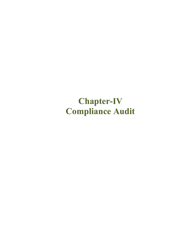# **Chapter-IV Compliance Audit**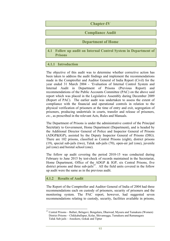#### **Chapter-IV**

#### **Compliance Audit**

#### **Department of Home**

**4.1 Follow up audit on Internal Control System in Department of Prisons** 

#### **4.1.1 Introduction**

The objective of this audit was to determine whether corrective action has been taken to address the audit findings and implement the recommendations made in the Comptroller and Auditor General of India Report (Civil) for the year ended 31 March 2004 - 'Evaluation of Internal Control System and Internal Audit in Department of Prisons (Previous Report) and recommendations of the Public Accounts Committee (PAC) on the above said report which was placed in the Legislative Assembly during December 2009 (Report of PAC). The earlier audit was undertaken to assess the extent of compliance with the financial and operational controls in relation to the physical verification of prisoners at the time of entry and exit, segregation of prisoners, producing undertrials in courts, transfer and release of prisoners, *etc*., as prescribed in the relevant Acts, Rules and Manuals.

The Department of Prisons is under the administrative control of the Principal Secretary to Government, Home Department (Department), and is headed by the Additional Director General of Police and Inspector General of Prisons (ADGP&IGP), assisted by the Deputy Inspector General of Prisons (DIG). There are 102 prisons, classified as Central Prisons (eight), district prisons (19), special sub-jails (two), Taluk sub-jails (70), open-air jail (one), juvenile jail (one) and borstal school (one).

The follow up audit covering the period 2010-15 was conducted during February to June 2015 by test-check of records maintained in the Secretariat, Home Department, Office of the ADGP & IGP, six Central Prisons, five district prisons and three sub-jails<sup>57</sup>. All the field units covered in the follow up audit were the same as in the previous audit.

#### **4.1.2 Results of Audit**

The Report of the Comptroller and Auditor General of India of 2004 had three recommendations each on custody of prisoners, security of prisoners and the monitoring system. The PAC report, however, had suggested seven recommendations relating to custody, security, facilities available in prisons,

 57 Central Prisons – Ballari, Belagavi, Bengaluru, Dharwad, Mysuru and Tumakuru (Women) District Prisons – Chikkaballapur, Kolar, Shivamogga, Tumakuru and Ramanagara Taluk Sub-jails – Arasikere, Gokak and Tiptur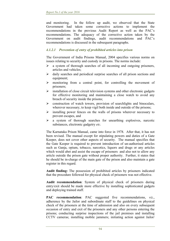and monitoring. In the follow up audit, we observed that the State Government had taken some corrective actions to implement the recommendations in the previous Audit Report as well as the PAC's recommendations. The adequacy of the corrective action taken by the Government on audit findings, audit recommendations and PAC's recommendations is discussed in the subsequent paragraphs.

# *4.1.2.1 Prevention of entry of prohibited articles into prison*

The Government of India Prisons Manual, 2004 specifies various norms on issues relating to security and custody in prisons. The norms include:

- $\triangleright$  a system of thorough searches of all incoming and outgoing prisoners, articles and vehicles;
- $\triangleright$  daily searches and periodical surprise searches of all prison sections and equipment;
- monitoring from a central point, for controlling the movement of prisoners;
- $\triangleright$  installation of close circuit television systems and other electronic gadgets for effective monitoring and maintaining a close watch to avoid any breach of security inside the prisons;
- construction of watch towers, provision of searchlights and binoculars, wherever necessary, to keep vigil both inside and outside of the prisons;
- $\triangleright$  installing power fences on the walls of prisons wherever necessary to prevent escapes, and
- $\triangleright$  a system of thorough searches for unearthing explosives, narcotic substances, electronic gadgetry *etc*.

The Karnataka Prison Manual, came into force in 1978. After that, it has not been revised. The manual except for stipulating powers and duties of a Gate Keeper, does not cover other aspects of security. The manual specifies that the Gate Keeper is required to prevent introduction of un-authorised articles such as Ganja, opium, tobacco, narcotics, liquors and drugs or any articles which would abet and assist the escape of prisoners and also not to allow any article outside the prison gate without proper authority. Further, it states that he should be in-charge of the main gate of the prison and also maintain a gate register in this regard.

**Audit finding:** The possession of prohibited articles by prisoners indicated that the procedure followed for physical check of prisoners was not effective.

**Audit recommendation**: System of physical check of prisoners during entry/exit should be made more effective by installing sophisticated gadgets and deploying trained staff.

**PAC recommendation**: PAC suggested five recommendations, *viz*., adherence by the Jailor and subordinate staff to the guidelines on physical check of the prisoners at the time of admission and also on every subsequent occasion of entry and exit of the prisoners and any other persons entering the prisons; conducting surprise inspections of the jail premises and installing CCTV cameras; installing mobile jammers; initiating action against Jailor/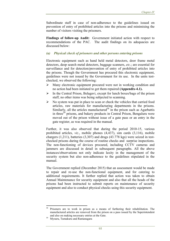Subordinate staff in case of non-adherence to the guidelines issued on prevention of entry of prohibited articles into the prisons and minimising the number of visitors visiting the prisoners.

**Findings of follow-up Audit:** Government initiated action with respect to recommendations of the PAC. The audit findings on its adequacies are discussed below:

#### *(a) Physical check of prisoners and other persons entering prisons*

Electronic equipment such as hand held metal detectors, door frame metal detectors, deep search metal detectors, baggage scanners, *etc*.; are essential for surveillance and for detection/prevention of entry of prohibited articles into the prisons. Though the Government has procured this electronic equipment, guidelines were not issued by the Government for its use. In the units testchecked, we observed the following:

- $\triangleright$  Many electronic equipment procured were not in working condition and no action had been initiated to get them repaired **(Appendix-4.1).**
- $\triangleright$  In the Central Prison, Belagavi, except for lunch boxes/bags of the prison staff, no other items was being subjected to scanning.
- $\triangleright$  No system was put in place to scan or check the vehicles that carried food articles, raw materials for manufacturing departments in the prisons. Similarly, all the articles manufactured<sup>58</sup> in the prison such as Agarbattis in three<sup>59</sup> prisons, and bakery products in Central Prison, Bengaluru were moved out of the prison without issue of a gate pass or an entry in the gate register, as was required in the manual.

Further, it was also observed that during the period 2010-15, various prohibited articles, *viz*., mobile phones (4,437), sim cards (3,116), mobile chargers (1,211), batteries (3,307) and drugs (43.778 kgs) were seized in testchecked prisons during the course of routine checks and surprise inspections. The non-functioning of devices procured, including CCTV cameras and jammers are discussed in detail in subsequent paragraphs. All the above instances/observations not only indicate laxity in the management of the security system but also non-adherence to the guidelines stipulated in the manual.

The Government replied (December 2015) that an assessment would be made to repair and re-use the non-functional equipment, and for catering to additional requirements. It further replied that action was taken to obtain Annual Maintenance for security equipment and also that all the heads of the prisons had been instructed to submit reports on maintenance of security equipment and also to conduct physical checks using this security equipment.

 58 Prisoners are to work in prison as a means of furthering their rehabilitation. The manufactured articles are removed from the prison on a pass issued by the Superintendent and also on making necessary entries at the Gate.<br>Mysuru, Tumakuru and Ramanagara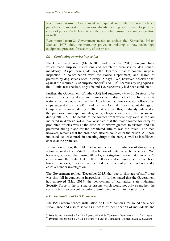**Recommendation-1**: Government is required not only to issue detailed guidelines in support of provisions already existing with regard to physical check of persons/vehicles entering the prison but ensure their implementation as well.

**Recommendation-2**: Government needs to update the Karnataka Prison Manual, 1978, duly incorporating provisions relating to new technology equipment procured for security of the prison.

#### *(b) Conducting surprise inspection*

The Government issued (March 2010 and November 2011) two guidelines which made surprise inspections and search of premises by dog squads mandatory. As per these guidelines, the Department had to conduct surprise inspection in co-ordination with the Police Department, and search of premises by dog squads once in every 15 days. We, however, observed that against the required 1248 surprise checks<sup>60</sup> and 768<sup>61</sup> searches by dog squad in the 13 units test-checked, only 130 and 138 respectively had been conducted.

Further, the Government of India (GoI) had suggested (May 2010) steps to be taken for detecting drugs and inmates with drug addiction. In the units test-checked, we observed that the Department had, however, not followed the steps suggested by the GOI, and in three Central Prisons about 44 kgs of Ganja were recovered during 2010-15. Apart from this, as already indicated in the previous paragraph, mobiles, sims, chargers *etc*., were also recovered during 2010-15. The details of the sources from where they were seized are indicated in **Appendix-4.2.** We observed that the major source for entry of prohibited articles was at the time of interview granted to visitors and the preferred hiding place for the prohibited articles was the toilet. The fact, however, remains that the prohibited articles could enter the prison. All these indicated lack of controls in detecting drugs at the entry as well as insufficient checks at the premises.

In this connection, the PAC had recommended the initiation of disciplinary action against officers/staff for dereliction of duty in such instances. We, however, observed that during 2010-15, investigation was initiated in only 20 cases across the State. Out of these 20 cases, disciplinary action had been taken in 14 cases, four cases were closed due to lack of proper evidence and 2 cases are under investigation.

The Government replied (December 2015) that due to shortage of staff there was shortfall in conducting inspections. It further stated that the Government had approved (May 2015) the deployment of Karnataka State Industrial Security Force in the four major prisons which would not only strengthen the security but also prevent the entry of prohibited items into these prisons.

#### *(c) Installation of CCTV cameras*

The PAC recommended installation of CCTV cameras for round the clock surveillance and also to serve as a means of identification of individuals and

  $60$  10 units test-checked x 2 x 12 x 5 years +1 unit in Tumakuru (Women) x 2 x 12 x 2 years

<sup>&</sup>lt;sup>61</sup> 10 units test-checked x 2 x 12 x 3 years + 1 unit in Tumakuru (Women) x 2 x 12 x 2years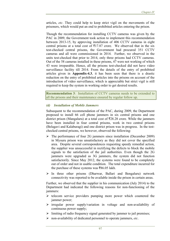articles, *etc*. They could help to keep strict vigil on the movements of the prisoners, which would put an end to prohibited articles entering the prison.

Though the recommendation for installing CCTV cameras was given by the PAC in 2009, the Government took action to implement this recommendation between 2013-15, by approving installation of 406 CCTV cameras in eight central prisons at a total cost of  $\overline{517.87}$  crore. We observed that in the six test-checked central prisons, the Government had procured 351 CCTV cameras and all were commissioned in 2014. Further, we observed in the units test-checked that prior to 2014, only three prisons had CCTV cameras. Out of the 58 cameras installed in these prisons, 47 were not working of which 43 were irreparable. Hence, all the prisons test-checked did not have video surveillance facility till 2014. From the details of the entry of prohibited articles given in **Appendix-4.3**, it has been seen that there is a drastic reduction on the entry of prohibited articles into the prisons on account of the introduction of video surveillance, which is appreciable but strict vigil is still required to keep the system in working order to get desired results.

**Recommendation 3**: Installation of CCTV cameras needs to be extended to all the prisons and their maintenance ensured by regular follow up.

#### *(d) Installation of Mobile Jammers*

Subsequent to the recommendation of the PAC, during 2009, the Department proposed to install 66 cell phone jammers in six central prisons and one district prison (Mangaluru) at a total cost of  $\overline{28.28}$  crore. While the jammers have been installed in four central prisons, work in two central prisons (Belagavi and Kalaburagi) and one district prison was in progress. In the testchecked central prisons, we however, observed the following:

- $\triangleright$  The performance of four 2G jammers since installation (December 2009) in Mysuru prison was unsatisfactory as they did not cover the specified area. Despite several correspondences requesting speedy remedial action, the supplier was unsuccessful in rectifying the defects to block the mobile signals to the satisfaction of the jail authorities. Even though the 2G jammers were upgraded as 3G jammers, the system did not function satisfactorily. Since May 2012, the systems were found to be completely out of order and not in usable condition. The total expenditure incurred for the purchase of these systems was  $\text{\textsterling}86.05$  lakh.
- $\triangleright$  In three other prisons (Dharwar, Ballari and Bengaluru) network connectivity was reported to be available inside the prison in certain areas.

Further, we observed that the supplier in his communication (July 2014) to the Department had indicated the following reasons for non-functioning of the jammers:

- $\triangleright$  telecom service providers pumping more power which countered the jammer power;
- $\triangleright$  irregular power supply/variation in voltage and non-availability of continuous power supply;
- $\triangleright$  limiting of radio frequency signal generated by jammer to jail premises;
- non-availability of dedicated personnel to operate jammers, *etc*.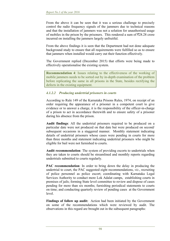From the above it can be seen that it was a serious challenge to precisely control the radio frequency signals of the jammers due to technical reasons and that the installation of jammers was not a solution for unauthorised usage of mobiles in the prison by the prisoners. This rendered a sum of  $\overline{528.28}$  crore incurred on installing the jammers largely unfruitful.

From the above findings it is seen that the Department had not done adequate background study to ensure that all requirements were fulfilled so as to ensure that jammers when installed would carry out their function effectively.

The Government replied (December 2015) that efforts were being made to effectively operationalise the existing system.

**Recommendation 4**: Issues relating to the effectiveness of the working of mobile jammers needs to be sorted out by in-depth examination of the problem before replicating the same in all prisons in the State, besides rectifying the defects in the existing equipment.

### *4.1.2.2 Producing undertrial prisoners in courts*

According to Rule 149 of the Karnataka Prisons Rules, 1974, on receipt of an order requiring the appearance of a prisoner in a competent court to give evidence or to answer a charge, it is the responsibility of the officer-in-charge of a prison to act in accordance therewith and to ensure safety of a prisoner during his absence from the prison.

**Audit findings**: All the undertrial prisoners required to be produced on a particular date were not produced on that date but were produced on second/ subsequent occasions in a staggered manner. Monthly statement indicating details of undertrial prisoners whose cases were pending in courts for more than three months and statement indicating undertrial prisoners who might be eligible for bail were not furnished to courts.

**Audit recommendation**: The system of providing escorts to undertrials when they are taken to courts should be streamlined and monthly reports regarding undertrials submitted to courts regularly.

**PAC recommendation**: In order to bring down the delay in producing the undertrial to court, the PAC suggested eight recommendations, *viz*., recruiting of police personnel as police escort; coordinating with Karnataka Legal Services Authority to conduct more Lok Adalat camps, establishing courts in premises of jails; forming State level committee to review and dispose of cases pending for more than six months; furnishing periodical statements to courts on time; and conducting quarterly review of pending cases at the Government level.

**Findings of follow up audit:** Action had been initiated by the Government on some of the recommendations which were reviewed by audit. The observations in this regard are brought out in the subsequent paragraphs: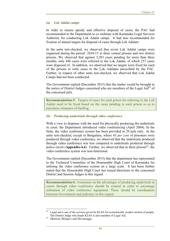#### *(a) Lok Adalat camps*

In order to ensure speedy and effective disposal of cases, the PAC had recommended to the Department to co-ordinate with Karnataka Legal Services Authority for conducting Lok Adalat camps. It had also recommended for fixation of annual targets for disposal of cases through Lok Adalats.

In the units test-checked, we observed that seven Lok Adalat camps were organised during the period 2010-15 in three central prisons and two district prisons. We observed that against 3,283 cases pending for more than three months, only 448 cases were referred to the Lok Adalat, of which 257 cases were disposed of. In addition, we observed that no targets were fixed for each of the prisons to refer cases to the Lok Adalatas prescribed by the PAC. Further, in respect of other units test-checked, we observed that Lok Adalat Camps had not been conducted.

The Government replied (December 2015) that the matter would be brought to the notice of District Judges concerned who are members of the Legal  $\text{Aid}^{62}$  of the concerned jails.

**Recommendation-5**: Targets of cases for each prison for referring to the Lok Adalat need to be fixed based on the cases pending in each prison so as to maximise clearance of backlog.

#### *(b) Producing undertrials through video conference*

With a view to dispense with the need for physically producing the undertrials in court, the Department introduced video conferencing (April 2004). In the State, the video conference system has been provided in 29 jails only. In the units test-checked, except in Bengaluru, where 43 *per cent* of prisoners were produced through video conference, we observed that the undertrials produced through video conference was less compared to undertrials produced through police escort (**Appendix-4.4**). Further, we observed that in three prisons<sup>63</sup>, the video conference system was non-functional.

The Government replied (December 2015) that the department has represented to the Technical Committee of the Honourable High Court of Karnataka for utilising the video conference system on a large scale. It has been further stated that the Honourable High Court has issued directions to the concerned District and Session Judges in this regard.

**Recommendation-6**: Awareness on the advantages of producing undertrials in courts through video conference should be created in order to encourage utilisation of video conference equipment. There should be coordination between Government and judiciary in this regard.

 Legal aid is one of the services given by KLSA for economically weaker section of people. The District Judge who heads KLSA is also member of Legal Aid.<br>Dharwar, Belagavi and Shivamogga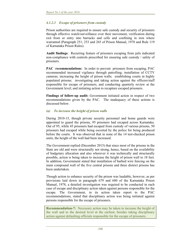#### *4.1.2.3 Escape of prisoners from custody*

Prison authorities are required to ensure safe custody and security of prisoners through effective watch/surveillance over their movement, verification during exit from or entry into barracks and cells and confining in iron where warranted (Paragraph 251, 253 and 265 of Prison Manual, 1978 and Rule 119 of Karnataka Prison Rules).

**Audit findings**: Recurring feature of prisoners escaping from jails indicated non-compliance with controls prescribed for ensuring safe custody / safety of prisoners.

**PAC recommendations**: In order to prevent prisoners from escaping, PAC recommended increased vigilance through patrolling; installation of CCTV cameras; increasing the height of prison walls; establishing courts in highly populated prisons; investigating and taking action against the officers/staff responsible for escape of prisoners; and conducting quarterly review at the Government level; and initiating action to recapture escaped prisoners.

**Findings of follow-up audit:** Government initiated action in respect of two recommendations given by the PAC. The inadequacy of these actions is discussed below.

#### *(a) To increase the height of prison walls*

During 2010-15, though private security personnel and home guards were appointed to guard the prisons, 95 prisoners had escaped across Karnataka. Out of 95, while 45 prisoners had escaped from custody of various prisons, 50 prisoners had escaped while being escorted by the police for being produced before the courts. It was observed that in none of the 14 test-checked prison units, the height of the wall had been increased.

The Government replied (December 2015) that since most of the prisons in the State are old and were structurally not strong, hence, based on the availability of budgetary allocation and also wherever it was technically and structurally possible, action is being taken to increase the height of prison wall to 18 feet. In addition, Government stated that installation of barbed wire fencing on the main compound wall of the five central prisons and three district prisons has been undertaken.

Though action to enhance security of the prison was laudable, however, as per provisions laid down in paragraph 679 and 680 of the Karnataka Prison Manual, 1978, a detailed investigation was required to be conducted in each case of escape and disciplinary action taken against persons responsible for the escape. The Government, in its action taken report to the PAC recommendations, stated that disciplinary action was being initiated against persons responsible for the escape of prisoners.

**Recommendation-7:** Necessary action may be taken to increase the height of the wall and to the desired level at the earliest, besides taking disciplinary action against defaulting officials responsible for the escape of prisoners.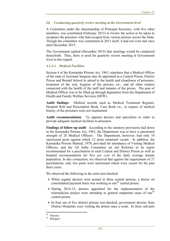#### *(b) Conducting quarterly review meeting at the Government level*

A Committee under the chairmanship of Principal Secretary, with five other members, was constituted (February 2013) to review the action to be taken to recapture the prisoners who had escaped from various prisons across the State. Though the committee was constituted in 2013 itself, it had not even met once until December 2015.

The Government replied (December 2015) that meetings would be conducted henceforth. Thus, there is need for quarterly review meeting at Government level in this regard.

### *4.1.2.4 Medical Facilities*

Section 4 of the Karnataka Prisons Act, 1963, stipulates that a Medical Officer of the rank of Assistant Surgeon may be appointed in a Central Prison, District Prison and Borstal School to attend to the health and cleanliness of prisoners, treatment of the sick, hygiene of the prisons, *etc*., and all other matters connected with the health of the staff and inmates of the prison. The post of Medical Officer was to be filled up through deputation from the Department of Health and Family Welfare Services (HFW).

**Audit findings**: Medical records such as Medical Treatment Register, Hospital Roll and Prescription Book, Case Book *etc*., in respect of medical history of the prisoners were not maintained.

**Audit recommendation**: To appoint doctors and specialists in order to provide adequate medical facilities to prisoners.

**Findings of follow-up audit**: According to the statutory provisions laid down in the Karnataka Prisons Act, 1963, the Department was to have a sanctioned strength of 28 Medical Officers. The Department, however, had only 18 sanctioned posts against which 12 posts remained vacant. In addition, the Karnataka Prisons Manual, 1978, provided for attendance of Visiting Medical Officers, and the All India Committee on Jail Reforms in its report recommended for a psychiatrist in each Central and District Prison as well as hospital accommodation for five *per cent* of the daily average inmate population. In this connection, we observed that against the requirement of 27 psychiatrists, only two posts were sanctioned which were vacant for the past three years.

We observed the following in the units test-checked:

- While regular doctors were posted in three central prisons, a doctor on consolidated payment basis was working in one<sup>64</sup> central prison.
- $\triangleright$  During 2014-15, doctors appointed for the implementation of the telemedicine project were attending to general outpatient cases of one<sup>65</sup> central prison.
- $\triangleright$  In four out of five district prisons test-checked, government doctors from District Hospitals were visiting the prison once a week. In three sub-jails

  $\frac{64}{65}$  Mysuru

**Belagavi**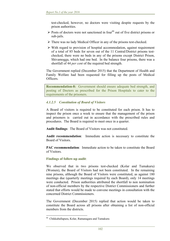test-checked, however, no doctors were visiting despite requests by the prison authorities.

- $\triangleright$  Posts of doctors were not sanctioned in four<sup>66</sup> out of five district prisons or sub-jails.
- There was no lady Medical Officer in any of the prisons test-checked.
- $\triangleright$  With regard to provision of hospital accommodation, against requirement of a total of 85 beds for seven out of the 11 Central/District prisons testchecked, there were no beds in any of the prisons except District Prison, Shivamogga, which had one bed. In the balance four prisons, there was a shortfall of 44 *per cent* of the required bed strength.

The Government replied (December 2015) that the Department of Health and Family Welfare had been requested for filling up the posts of Medical Officers.

**Recommendation-8:** Government should ensure adequate bed strength, and posting of Doctors as prescribed for the Prison Hospitals to cater to the requirements of the prisoners.

#### *4.1.2.5 Constitution of Board of Visitors*

A Board of visitors is required to be constituted for each prison. It has to inspect the prison once a week to ensure that the management of the prison and prisoners is carried out in accordance with the prescribed rules and procedures. The Board is required to meet once in a quarter.

**Audit findings**: The Board of Visitors was not constituted.

**Audit recommendation**: Immediate action is necessary to constitute the Board of Visitors.

**PAC recommendation**: Immediate action to be taken to constitute the Board of Visitors.

#### **Findings of follow-up audit**:

We observed that in two prisons test-checked (Kolar and Tumakuru) (Women), the Board of Visitors had not been constituted. In the remaining nine prisons, although the Board of Visitors were constituted, as against 180 meetings due (quarterly meetings required by each Board), only 14 meetings were conducted. Prison authorities attributed the shortfall to non nomination of non-official members by the respective District Commissioners and further stated that efforts would be made to convene meetings in consultation with the concerned District Commissioners.

The Government (December 2015) replied that action would be taken to constitute the Board across all prisons after obtaining a list of non-official members from the districts.

<sup>66</sup> Chikkaballapura, Kolar, Ramanagara and Tumakuru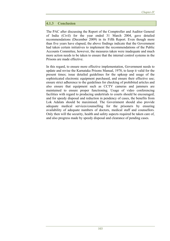# **4.1.3 Conclusion**

The PAC after discussing the Report of the Comptroller and Auditor General of India (Civil) for the year ended 31 March 2004, gave detailed recommendations (December 2009) in its Fifth Report. Even though more than five years have elapsed, the above findings indicate that the Government had taken certain initiatives to implement the recommendations of the Public Accounts Committee, however, the measures taken were inadequate and much more action needs to be taken to ensure that the internal control systems in the Prisons are made effective.

In this regard, to ensure more effective implementation, Government needs to update and revise the Karnataka Prisons Manual, 1978, to keep it valid for the present times; issue detailed guidelines for the upkeep and usage of the sophisticated electronic equipment purchased, and ensure their effective use; ensure strict adherence to the guidelines for checking of prohibited articles and also ensure that equipment such as CCTV cameras and jammers are maintained to ensure proper functioning. Usage of video conferencing facilities with regard to producing undertrials to courts should be encouraged; and for speedy disposal and reduction in pendency of cases, the benefits from Lok Adalats should be maximised. The Government should also provide adequate medical services/counselling for the prisoners by ensuring availability of adequate numbers of doctors, medical staff and counsellors. Only then will the security, health and safety aspects required be taken care of, and also progress made by speedy disposal and clearance of pending cases.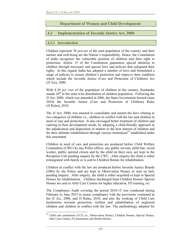# **Department of Women and Child Development**

# **4.2 Implementation of Juvenile Justice Act, 2000**

#### **4.2.1 Introduction**

Children represent 39 *percent* of the total population of the country and their nurture and well-being are the Nation's responsibility. Hence, the Constitution of India recognises the vulnerable position of children and their right to protection. Article 15 of the Constitution guarantees special attention to children through necessary and special laws and policies that safeguard their rights. In this regard, India has adopted a number of laws and formulated a range of policies to ensure children's protection and improve their condition which include the Juvenile Justice (Care and Protection of Children) Act (JJ Act), 2000.

With 4.39 *per cent* of the population of children in the country, Karnataka stands  $10<sup>th</sup>$  in the state-wise distribution of children population. Following the JJ Act, 2000, which was amended in 2006, the State Government framed (June 2010) the Juvenile Justice (Care and Protection of Children) Rules (JJ Rules), 2010.

The JJ Act, 2000, was enacted to consolidate and amend the laws relating to two categories of children *viz*., children in conflict with the law and children in need of care and protection. It also envisaged better treatment of children and catering to their development needs, by adopting a child-friendly approach in the adjudication and disposition of matters to the best interest of children and for their ultimate rehabilitation through various institutions<sup>67</sup> established under this enactment.

Children in need of care and protection are produced before Child Welfare Committees (CWC) by any Police officer, any public servant, child line, social worker, public spirited citizen and by the child on their own, are kept in the Reception Unit pending enquiry by the CWC. After enquiry the child is either reintegrated with family or is sent to Children Homes for rehabilitation.

Children in conflict with the law are produced before Juvenile Justice Boards (JJBs) by the Police and are kept in Observation Homes or sent on bail, pending enquiry. After enquiry, the child is either acquitted or kept in Special Homes for rehabilitation. Children discharged from Children Homes/ Special Homes are sent to After Care Centres for higher education, ITI training, *etc*.

The Compliance Audit covering the period 2010-15 was conducted during February to June 2015 to assess compliance with the provisions contained in the JJ Act, 2000, and JJ Rules, 2010, and also the working of Child Care Institutions towards protection, welfare and rehabilitation of neglected children and children in conflict with the law. The methodology adopted for

 <sup>67</sup> Child care institutions (CCI) *viz*., Observation Homes, Children Homes, Special Homes, After Care Centres, Fit Institutions and Shelter Homes.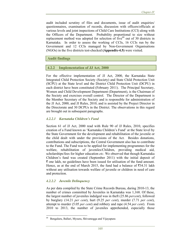audit included scrutiny of files and documents, issue of audit enquiries/ questionnaires, examination of records, discussion with officers/officials at various levels and joint inspections of Child Care Institutions (CCI) along with the Officers of the Department. Probability proportional to size without replacement method was adopted for selection of five<sup>68</sup> out of 30 districts in Karnataka. In order to assess the working of CCIs, 16 CCIs run by the Government and 12 CCIs managed by Non-Government Organisations (NGOs) in the five districts test-checked **(Appendix-4.5)** were visited.

**Audit findings** 

#### **4.2.2 Implementation of JJ Act, 2000**

For the effective implementation of JJ Act, 2000, the Karnataka State Integrated Child Protection Society (Society) and State Child Protection Unit (SCPU) at the State level and the District Child Protection Unit (DCPU) in each district have been constituted (February 2011). The Principal Secretary, Women and Child Development Department (Department), is the Chairman of the Society and exercises overall control. The Director of the Department is the Member Secretary of the Society and is responsible for administration of the JJ Act, 2000, and JJ Rules, 2010, and is assisted by the Project Director in the Directorate and 30 DCPUs in the District. The observations in this regard are brought out in subsequent paragraphs.

#### *4.2.2.1 Karnataka Children's Fund*

Section 61 of JJ Act, 2000 read with Rule 90 of JJ Rules, 2010, specifies creation of a Fund known as 'Karnataka Children's Fund' at the State level by the State Government for the development and rehabilitation of the juvenile or the child dealt with under the provisions of the Act. Besides donations, contributions and subscriptions, the Central Government also has to contribute to the Fund. The Fund was to be applied for implementing programmes for the welfare, rehabilitation of juveniles/Children, providing medical aid, scholarships/fees for higher education *etc*. We observed that though Karnataka Children's fund was created (September 2011) with the initial deposit of  $\bar{\tau}$  one lakh, no guidelines have been issued for utilisation of the fund amount. Hence, as at the end of March 2015, the fund had a balance of  $\overline{5}34.31$  lakh without any utilisation towards welfare of juvenile or children in need of care and protection.

#### *4.2.2.2 Juvenile Delinquency*

As per data compiled by the State Crime Records Bureau, during 2010-13, the number of crimes committed by Juveniles in Karnataka was 1,168. Of these, the largest number of juveniles indulged was in theft (25.86 *percent*), followed by burglary (14.21 *per cent*), hurt (9.25 *per cent*), murder (7.71 *per cent*), attempt to murder (5.05 *per cent*) and robbery and rape (4.54 *per cent*). From 2010 to 2013, the number of juveniles apprehended, especially those

<sup>68</sup> Bengaluru, Ballari, Mysuru, Shivamogga and Vijayapura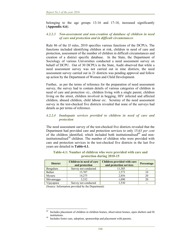belonging to the age groups 13-16 and 17-18, increased significantly (**Appendix**-**4.6**).

#### *4.2.2.3 Non-assessment and non-creation of database of children in need of care and protection and in difficult circumstances*

Rule 86 of the JJ rules, 2010 specifies various functions of the DCPUs. The functions included identifying children at risk, children in need of care and protection, assessment of the number of children in difficult circumstances and creation of a district specific database. In the State, the Department of Sociology of various Universities conducted a need assessment survey on behalf of DCPU. Out of 30 DCPUs in the State, Audit observed that while a need assessment survey was not carried out in nine districts, the need assessment survey carried out in 21 districts was pending approval and follow up action by the Department of Women and Child Development.

Further, as per the terms of reference for the preparation of need assessment survey, the survey had to contain details of various categories of children in need of care and protection *viz*., children living with a single parent, children living on the street, children involved in begging, HIV infected and affected children, abused children, child labour *etc*. Scrutiny of the need assessment survey in the test-checked five districts revealed that none of the surveys had details as per terms of reference.

#### *4.2.2.4 Inadequate services provided to children in need of care and protection*

The need assessment survey of the test-checked five districts revealed that the Department had provided care and protection services to only 15.63 *per cent* of the children identified, which included both institutionalised<sup>69</sup> and noninstitutionalised<sup>70</sup> children. The number of children who were provided with care and protection services in the test-checked five districts in the last five years are detailed in **Table-4.1.**

| <b>District</b> | Children in need of care<br>and protection | <b>Children provided with care</b><br>and protection services | Percentage |
|-----------------|--------------------------------------------|---------------------------------------------------------------|------------|
| Bengaluru       | Survey not conducted                       | 11,385                                                        |            |
| Ballari         | 15,707                                     | 1,573                                                         |            |
| Mysuru          | 14,275                                     | 2,856                                                         | 20         |
| Shivamogga      | 5,332                                      | 1,090                                                         |            |
| Vijayapura      | Survey not conducted                       | 1,530                                                         |            |

#### **Table-4.1: Number of children who were provided with care and protection during 2010-15**

(Source: Information provided by the Department)

 Includes placement of children in children homes, observation homes, open shelters and fit **institutions** 

 $70$  Includes foster care, adoption, sponsorship and placement with parents.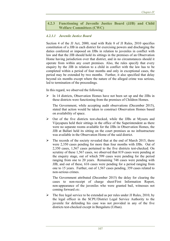#### **4.2.3 Functioning of Juvenile Justice Board (JJB) and Child Welfare Committees (CWC)**

# *4.2.3.1 Juvenile Justice Board*

Section 4 of the JJ Act, 2000, read with Rule 8 of JJ Rules, 2010 specifies constitution of a JJB in each district for exercising powers and discharging the duties conferred or imposed on JJBs in relation to juveniles in conflict with law and that the JJB should hold its sittings in the premises of an Observation Home having jurisdiction over that district, and in no circumstances should it operate from within any court premises. Also, the rules specify that every enquiry by the JJB in relation to a child in conflict with the law has to be completed within a period of four months and only in exceptional cases, the period may be extended by two months. Further, it also specified that delay beyond six months except where the nature of the alleged crime was serious, led to termination of the proceedings.

In this regard, we observed the following:

 $\triangleright$  In 14 districts, Observation Homes have not been set up and the JJBs in these districts were functioning from the premises of Children Homes.

The Government, while accepting audit observations (December 2015), stated that action would be taken to construct Observation Homes based on availability of space.

- $\triangleright$  Out of the five districts test-checked, while the JJBs at Mysuru and Vijayapura held their sittings in the office of the Superintendent as there were no separate rooms available for the JJBs in Observation Homes, the JJB at Ballari held its sitting on the court premises as no infrastructure was available in the Observation Home of the said district.
- $\triangleright$  The records of the society revealed that at the end of March 2015, there were 2,350 cases pending for more than four months with JJBs. Out of 2,350 cases, 1,567 cases pertained to the five districts test-checked. On scrutiny of these 1,567 cases, we observed that 819 cases were pending at the enquiry stage, out of which 599 cases were pending for the period ranging from one to 20 years. Remaining 748 cases were pending with JJB, and out of these, 616 cases were pending for a period ranging from one to 15 years. Further, out of 1,567 cases pending, 359 cases related to non-serious crimes.

The Government attributed (December 2015) the delay for clearing the cases to non-receipt of charge sheet/First Information Report, non-appearance of the juveniles who were granted bail, witnesses not coming forward *etc*.

 $\triangleright$  The free legal service to be extended as per rules under JJ Rules, 2010, by the legal officer in the SCPU/District Legal Service Authority to the juvenile for defending his case was not provided in any of the five districts test-checked except in Bengaluru (Urban).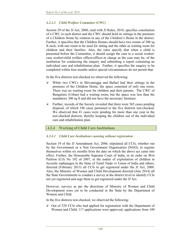# *4.2.3.2 Child Welfare Committee (CWC)*

Section 29 of the JJ Act, 2000, read with JJ Rules, 2010, specifies constitution of a CWC in each district and the CWC should hold its sittings in the premises of a Children Home by rotation in any of the Children's Home in the district. Further, it specifies that the Children Homes should have two rooms of 300 sq ft each, with one room to be used for sitting and the other as waiting room for children and their families. Also, the rules specify that when a child is presented before the Committee, it should assign the case to a social worker/ case worker/child welfare officer/officer-in charge as the case may be, of the institution for conducting the enquiry and submitting a report containing an individual care and rehabilitation plan. Further, it specifies the enquiry to be completed within four months unless special circumstances do not permit that.

In the five districts test-checked we observed the following:

- While two CWCs in Shivamogga and Ballari had their sittings in the premises of the Children Home, the space consisted of only one room. There was no waiting room for children and their parents. The CWC of Bengaluru (Urban) had a waiting room, but the space was less than the mandatory 300 sq ft and did not have the necessary furniture.
- $\triangleright$  Further, records of the Society revealed that there were 565 cases pending disposal, of which 196 cases pertained to the five districts test-checked. We observed that 41 cases were pending for more than one year in the test-checked districts, thereby keeping the children out of the individual care and rehabilitation plan.

# **4.2.4 Working of Child Care Institutions**

#### *4.2.4.1 Child Care Institutions running without registration*

Section 19 of the JJ Amendment Act, 2006, stipulated all CCIs, whether run by the Government or a Non Government Organisation (NGO), to register themselves within six months from the date on which the above act came into effect. Further, the Honourable Supreme Court of India, in its order on Writ Petition (Crl) No 102 of 2007, in the matter of exploitation of children in Juvenile orphanages in the State of Tamil Nadu vs Union of India and others, directed (February 2013) all CCIs to get registered under the JJ Act, 2000. Also, the Ministry of Women and Child Development directed (July 2014) all the State Governments to conduct a survey at the district level to identify CCIs not yet registered and urge them to get registered under the JJ Act.

However, surveys as per the directions of Ministry of Women and Child Development were yet to be conducted in the State by the Department of Women and Child.

In the five districts test-checked, we observed the following:

 $\triangleright$  Out of 329 CCIs who had applied for registration with the Department of Women and Child, 117 applications were approved, applications from 109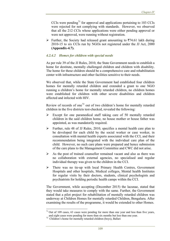CCIs were pending<sup>71</sup> for approval and applications pertaining to 103 CCIs were rejected for not complying with standards. However, we observed that all the 212 CCIs whose applications were either pending approval or were not approved, were running without registration.

Further, the Society had released grant amounting to  $\overline{574.61}$  lakh during 2010-15 to six CCIs run by NGOs not registered under the JJ Act, 2000 **(Appendix-4.7).**

#### *4.2.4.2 Homes for children with special needs*

As per rule 39 of the JJ Rules, 2010, the State Government needs to establish a home for destitute, mentally challenged children and children with disability. The home for these children should be a comprehensive care and rehabilitation center with infrastructure and other facilities sensitive to their needs.

We observed that, while the State Government had established four children homes for mentally retarded children and extended a grant to one NGO running a children's home for mentally retarded children, no children homes were established for children with other severe disabilities and children affected and infected with HIV.

Review of records of one<sup>72</sup> out of two children's home for mentally retarded children in the five districts test-checked, revealed the following:

- $\triangleright$  Except for one paramedical staff taking care of 50 mentally retarded children in the said children home, no house mother or house father was appointed, as was mandatorily required.
- $\triangleright$  Further, rule 48 of JJ Rules, 2010, specifies a mental health care plan to be developed for each child by the social worker or case worker, in consultation with mental health experts associated with the CCI, and their recommendation being integrated with the individual care plan of the child. However, no such care plans were prepared and hence submission of the care plans to the Management Committee and CWC did not arise.
- $\triangleright$  As the post of trained counsellor remained vacant and also as there was no collaboration with external agencies, no specialised and regular individual therapy was given to the children in the CCI.
- There was no tie-up with local Primary Health Centres, Government Hospitals and other hospitals, Medical colleges, Mental health Institutes for regular visits by their doctors, students, clinical psychologists and psychiatrists for holding periodic health camps within the CCI.

The Government, while accepting (December 2015) the lacunae, stated that they would take measures to comply with the same. Further, the Government stated that a pilot project for rehabilitation of mentally retarded children was underway at Children Homes for mentally retarded Children, Bengaluru. After examining the results of the programme, it would be extended to other Homes.

 $71$  Out of 109 cases, 63 cases were pending for more than one year and less than five years, and eight cases were pending for more than six months but less than one year. 72 Children's home for mentally retarded children (boys), Ballari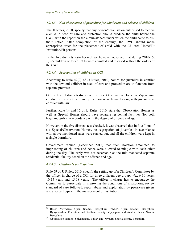#### *4.2.4.3 Non observance of procedure for admission and release of children*

The JJ Rules, 2010, specify that any person/organisation authorised to receive a child in need of care and protection should produce the child before the CWC with the report on the circumstances under which the child came to his/ their notice. After completion of the enquiry, the CWC should make appropriate order for the placement of child with the Children Home/Fit Institution/Fit persons.

In the five districts test-checked, we however observed that during 2010-15, 1,025 children of four<sup>73</sup> CCIs were admitted and released without the orders of the CWC.

#### *4.2.4.4 Segregation of children in CCI*

According to Rule 42(2) of JJ Rules, 2010, homes for juveniles in conflict with the law and children in need of care and protection are to function from separate premises.

Out of five districts test-checked, in one Observation Home in Vijayapura, children in need of care and protection were housed along with juveniles in conflict with law.

Further, Rule 14 and 15 of JJ Rules, 2010, state that Observation Homes as well as Special Homes should have separate residential facilities (for both boys and girls), in accordance with the degree of offence and age.

However, in the five districts test-checked, it was observed that in four<sup>74</sup> out of six Special/Observation Homes, no segregation of juveniles in accordance with above mentioned rules were carried out, and all the children were kept in a single dormitory.

Government replied (December 2015) that such isolation amounted to imprisoning of children and hence were allowed to mingle with each other during the day. The reply was not acceptable as the rule mandated separate residential facility based on the offence and age.

#### *4.2.4.5 Children's participation*

Rule 59 of JJ Rules, 2010, specify the setting up of a Children's Committee by the officer-in-charge of a CCI for three different age groups *viz*., 6-10 years, 10-15 years and 15-18 years. The officer-in-charge has to encourage the Committee to participate in improving the conditions of institutions, review standard of care followed, report abuse and exploitation by peers/care givers and also participate in the management of institution.

<sup>73</sup> Bosco Yuvodaya Open Shelter, Bengaluru; YMCA Open Shelter, Bengaluru; Bijayalakshmi Education and Welfare Society, Vijayapura and Anatha Shishu Nivasa,

Bengaluru 74 Observation Homes, Shivamogga, Ballari and Mysuru; Special Home, Bengaluru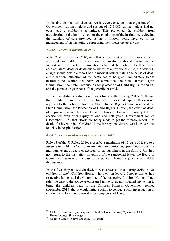In the five districts test-checked, we however, observed that eight out of 16 Government run institutions and six out of 12 NGO run institutions had not constituted a children's committee. This prevented the children from participating in the improvement of the conditions of the institution, reviewing the standard of care provided at the institution, being involved in the management of the institution, expressing their views creatively *etc*.

#### *4.2.4.6 Death of juvenile or child*

Rule 62 of the JJ Rules, 2010, state that, in the event of the death or suicide of a juvenile or child in an institution, the institution should ensure that an inquest and post-mortem examination is held at the earliest. Further, in the case of natural death or death due to illness of a juvenile or child, the officer in charge should obtain a report of the medical officer stating the cause of death and a written intimation of the death has to be given immediately to the nearest police station, the board or committee, the State Human Rights Commission, the State Commission for protection of Child Rights, the SCPU and the parents or guardians of the juvenile or child.

In the five districts test-checked, we observed that during 2010-15, though three children from three Children Homes<sup>75</sup> for boys had expired, this was not reported to the police station, the State Human Rights Commission and the State Commission for Protection of Child Rights. Further, the cause of death of a juvenile in a Children Home for boys in Bengaluru, was yet to be ascertained even after expiry of one and half years. Government replied (December 2015) that efforts are being made to get the forensic report. The death of a juvenile in a Children Home for boys in Mysuru was however, due to delay in hospitalisation.

#### *4.2.4.7 Leave or absence of a juvenile or child*

Rule 65 of the JJ Rules, 2010, prescribe a maximum of 15 days of leave to a juvenile or child in a CCI for examination or admission, special occasions like marriage, event of death or accident or serious illness in the family. On their non-return to the institution on expiry of the sanctioned leave, the Board or Committee has to refer the case to the police to bring the juvenile or child to the institution.

In the five districts test-checked, it was observed that during 2010-15, 21 children of two<sup>76</sup> Children Homes who went on leave did not return to their respective homes and the Committee of the respective Children Home did not refer the case to the police as envisaged in the rules, nor initiated any action to bring the children back to the Children Homes. Government replied (December 2015) that it would initiate action to conduct social investigation of children who have not returned after completion of leave.

 75 Children Home for boys, Bengaluru ; Children Home for boys, Mysuru and Children Home for boys, Shivamogga<br>Children Home for boys and girls, Vijayapura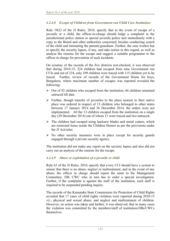# *4.2.4.8 Escape of Children from Government run Child Care Institution*

Rule 19(2) of the JJ Rules, 2010, specify that in the event of escape of a juvenile or a child, the officer-in-charge should lodge a complaint in the jurisdictional police station or special juvenile police unit immediately with a copy to the Board and other authorities concerned, besides conducting search of the child and intimating the parents/guardians. Further, the case worker has to specify the security lapses, if any, and take action in this regard, as well as analyse the reasons for the escape and suggest a suitable programme to the officer in charge for prevention of such incidents.

On scrutiny of the records of the five districts test-checked, it was observed that during 2010-15, 224 children had escaped from nine Government run CCIs and out of 224, only 109 children were traced with 115 children yet to be traced. Further, review of records of the Government Home for boys, Bengaluru, where maximum number of escapes was reported revealed the following:

- $\triangleright$  Out of 92 children who escaped from the institution, 66 children remained untraced till date.
- $\triangleright$  Further, though transfer of juveniles to the place nearest to their native place was ordered in respect of 13 children who belonged to other states between 17 January 2014 and 26 December 2014, the orders were not implemented. All the 13 children escaped from the institution on a single day (29 December 2014) out of whom 11 were traced and two untraced.
- $\triangleright$  The children had escaped using hacksaw blades and metal cutters, which are restricted items inside the Children Homes as per the provisions under the JJ Act/rules.
- $\triangleright$  No other security measures were in place except for security guards engaged through a private security agency.

The institution did not make any report on the security lapses and also did not carry out an analysis of the reasons for the escape.

#### *4.2.4.9 Abuse or exploitation of a juvenile or child*

Rule 63 of the JJ Rules, 2010, specify that every CCI should have a system to ensure that there is no abuse, neglect or maltreatment, and in the event of any abuse, the officer in charge should report the same to the Management Committee, JJB, CWC who in turn has to order a special investigation. Further, if the complaint is against the staff of the institution, such staff is required to be suspended pending inquiry.

The records of the Karnataka State Commission for Protection of Child Rights revealed that 17 cases of child rights violation were reported during 2010-15 *viz*., physical and sexual abuse, and neglect and maltreatment of children. However, no action was taken and further, it was observed, that in many cases the violation was committed by the members/staff of institution/JJBs/CWCs themselves.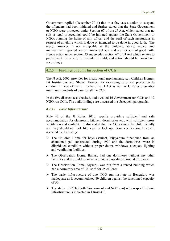Government replied (December 2015) that in a few cases, action to suspend the offenders had been initiated and further stated that the State Government or NGO were protected under Section 67 of the JJ Act, which stated that no suit or legal proceedings could be initiated against the State Government or NGOs running the home or any officer and the staff of such institutions in respect of anything which is done or intended to be done in good faith. The reply, however, is not acceptable as the violence, abuse, neglect and maltreatment reported are criminal/cruel acts and are not acts of good faith. Hence action under section 23 supercedes section 67 of JJ Act which relates to punishment for cruelty to juvenile or child, and action should be considered accordingly.

### **4.2.5 Findings of Joint Inspection of CCIs**

The JJ Act, 2000, provides for institutional mechanisms, *viz*., Children Homes, Fit Institutions and Shelter Homes, for extending care and protection to children in need of them. Further, the JJ Act as well as JJ Rules prescribes minimum standards of care for all the CCIs.

In the five districts test-checked, audit visited 16 Government run CCIs and 12 NGO run CCIs. The audit findings are discussed in subsequent paragraphs.

### *4.2.5.1 Basic Infrastructure*

Rule 42 of the JJ Rules, 2010, specify providing sufficient and safe accommodation for classroom, kitchen, dormitories *etc*., with sufficient cross ventilation and sunlight. It also stated that the CCIs should be child friendly and they should not look like a jail or lock up. Joint verification, however, revealed the following:

- $\triangleright$  The Children Home for boys (senior), Vijayapura functioned from an abandoned jail constructed during 1920 and the dormitories were in dilapidated condition without proper doors, windows, adequate lighting and ventilation facilities.
- The Observation Home, Ballari, had one dormitory without any other facilities and the children were kept locked up almost around the clock.
- $\triangleright$  The Observation Home, Mysuru, was run from a rented building which had a dormitory area of 120 sq ft for 25 children.
- $\triangleright$  The basic infrastructure of one NGO run institute in Bengaluru was inadequate as it accommodated 89 children against the sanctioned capacity of 50.
- $\triangleright$  The status of CCIs (both Government and NGO run) with respect to basic infrastructure is indicated in **Chart-4.1**.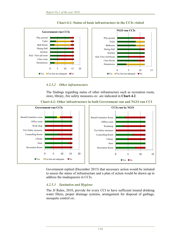

#### **Chart-4.1: Status of basic infrastructure in the CCIs visited**

#### *4.2.5.2 O* **Other infrastructure**

The findings regarding status of other infrastructure such as recreation room, store, library, fire safety measures etc. are indicated in **Chart-4.2**.



#### **Chart-4.2: Other infrastructure in both Government run and NGO run CCI**

Government replied (December 2015) that necessary action would be initiated to assess the status of infrastructure and a plan of action would be drawn up to address the inadequacies in CCIs. ed<br>to<br>ng<br>,e,

#### 4.2.5.3 Sanitation and Hygiene

The JJ Rules, 2010, provide for every CCI to have sufficient treated drinking water filters, proper drainage systems, arrangement for disposal of garbage mosquito c ontrol *etc*.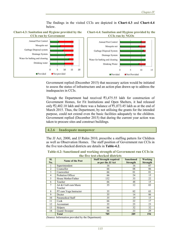The findings in the visited CCIs are depicted in Chart-4.3 and Chart-4.4 below.



et<br>m

0 5

Not provided

10 15

 $20$ 

Water for bathing and cleaning

Garbag ge Disposal system

Annual Pest Control

Drinking water

**Provided** 

Drainage System

Mosquito net





Government replied (December 2015) that necessary action would be initiated to assess the status of infrastructure and an action plan drawn up to address the inadequacies in CCIs. de<br>e<br>of

Though the Department had received  $\overline{3}3,475.55$  lakh for construction of Government Homes, for Fit Institutions and Open Shelters, it had released Government Homes, for Fit Institutions and Open Shelters, it had released only ₹2,402.10 lakh and there was a balance of ₹1,073.45 lakh as at the end of March 2015. Thus, the Department, by not utilising the grants for the intended March 2015. Thus, the Department, by not utilising the grants for the intended purpose, could not extend even the basic facilities adequately to the children. Government replied (December 2015) that during the current year action was taken to procure sites and construct buildings.

**4.2.6 In nadequate manpower** 

The JJ Act, 2000, and JJ Rules 2010, prescribe a staffing pattern for Children as well as Observation Homes. The staff position of Government run CCIs in the five test-checked districts are details in **Table-4.2**. us<br>.<br>n<br>n

| ule live test=ellecked districts |                          |                                |                   |                 |  |  |  |  |
|----------------------------------|--------------------------|--------------------------------|-------------------|-----------------|--|--|--|--|
| SI.                              | <b>Name of the Post</b>  | <b>Staff Strength required</b> | <b>Sanctioned</b> | <b>Working</b>  |  |  |  |  |
| No.                              |                          | as per the JJ Act              | <b>Strength</b>   | <b>Strength</b> |  |  |  |  |
| 1                                | Superintendent           | 16                             | 16                | 07              |  |  |  |  |
| $\overline{2}$                   | Counsellor               | 66                             | 08                | 06              |  |  |  |  |
| 3                                | Caseworker               | 66                             | 01                | 01              |  |  |  |  |
| $\overline{4}$                   | <b>Probation Officer</b> | 66                             | 24                | 15              |  |  |  |  |
| 5                                | House Mother/Father      | 132                            | 33                | 22              |  |  |  |  |
| 6                                | Teacher                  | 66                             | 48                | 15              |  |  |  |  |
| 7                                | Art & Craft cum Music    | 35                             | 12                | 03              |  |  |  |  |
|                                  | Teacher                  |                                |                   |                 |  |  |  |  |
| 8                                | PT cum Yoga Instructor   | 35                             | 02                | 03              |  |  |  |  |
| 9                                | Doctor                   | 35                             | 14                | 06              |  |  |  |  |
| 10                               | Paramedical Staff        | 35                             | 19                | 15              |  |  |  |  |
| 11                               | Cook                     | 66                             | 22                | 17              |  |  |  |  |
| 12                               | Accountant               | 35                             | 25                | 23              |  |  |  |  |
| 13                               | Helpers                  | 66                             | 32                | 32              |  |  |  |  |
| 14                               | Guard/ Sweeper           | 66                             | 33                | 29              |  |  |  |  |
|                                  | <b>Total</b>             | 785                            | 289               | 194             |  |  |  |  |

Table-4.2: Sanctioned and working strength of Government run CCIs in **the five test-checked districts** 

(Source: Information provided by the Department)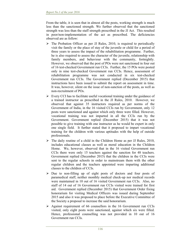From the table, it is seen that in almost all the posts, working strength is much less than the sanctioned strength. We further observed that the sanctioned strength was less than the staff strength prescribed in the JJ Act. This resulted in poor/non-implementation of the act as prescribed. The deficiencies observed are as follow:

- $\triangleright$  The Probation Officer as per JJ Rules, 2010, is required to periodically visit the family or the place of stay of the juvenile or child for a period of three years to assess the impact of the rehabilitation programme. Further, he is also required to assess the character of the juvenile, relationship with family members, and behaviour with the community, fortnightly. However, we observed that the post of POs were not sanctioned in four out of 16 test-checked Government run CCIs. Further, the 15 POs were posted only in nine test-checked Government run CCIs. Hence, assessment of rehabilitation programme was not conducted in six test-checked Government run CCIs. The Government replied (December 2015) that instructions have been issued to submit the report on assessment in time. It was, however, silent on the issue of non-sanction of the posts, as well as non-recruitment of POs.
- $\triangleright$  Every CCI has to facilitate useful vocational training under the guidance of a trained instructor as prescribed in the JJ Rules, 2010. However, we observed that against 35 instructors required as per norms of the Government of India, in the 16 visited CCIs run by Government, only 12 posts were sanctioned and against which only three were filled. However, vocational training was not imparted in all the CCIs run by the Government. Government replied (December 2015) that it was not possible to give training with one instructor as he would be expert in only one single field. It further stated that it proposed to impart vocational training for the children with various aptitudes with the help of outside professionals.
- $\triangleright$  The daily routine of a child in the Children Home as per JJ Rules, 2010, includes educational classes as well as moral education in the Children Home. We, however, observed that in the 16 visited Government run CCIs there were only 15 teachers against the sanction for 48 teachers. Government replied (December 2015) that the children in the CCIs were sent to the regular schools in order to mainstream them with the other regular children and the teachers appointed were imparting additional classes to the children of CCIs.
- $\triangleright$  Due to non-filling up of eight posts of doctors and four posts of paramedical staff, neither monthly medical check-up nor medical records were maintained in 10 out of 16 visited Government run CCIs. Also, no staff of 14 out of 16 Government run CCIs visited were trained for first aid. Government replied (December 2015) that Government Order fixing honorarium for visiting Medical Officers was issued during September 2015 and also it was proposed to place before the Executive Committee of the Society a proposal to increase the said honorarium.
- Against requirement of 66 counsellors in the 16 Government run CCIs visited, only eight posts were sanctioned, against which six were filled. Hence, professional counselling was not provided in 10 out of 16 Government run CCIs.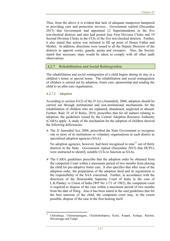Thus, from the above it is evident that lack of adequate manpower hampered in providing care and protection services. Government replied (December 2015) that Government had appointed 12 Superintendents in the five test-checked districts and also had posted four First Division Clerks and 19 Second Division Clerks in the CCIs of the five test-checked districts. Further, it also stated that action was initiated to fill up posts of House Father and Mother. In addition, directions were issued to all the Deputy Directors of the districts to appoint cooks, guards, peons and sweepers. Also, the Society stated that necessary steps would be taken to comply with all other audit observations.

### **4.2.7 Rehabilitation and Social Reintegration**

The rehabilitation and social reintegration of a child begins during its stay in a children's home or special home. The rehabilitation and social reintegration of children is carried out by adoption, foster care, sponsorship and sending the child to an after-care organisation.

#### *4.2.7.1 Adoption*

According to section 41(2) of the JJ Act (Amended), 2006, adoption should be carried out through institutional and non-institutional mechanisms for the rehabilitation of children who are orphaned, abandoned, neglected or abused. Further, Rule 35 of JJ Rules, 2010, prescribes that for all matters relating to adoption, the guidelines issued by the Central Adoption Resource Authority (CARA) apply. A study of the mechanism for the adoption of children showed the following deficiencies:

 $\triangleright$  The JJ Amended Act, 2006, prescribed the State Government to recognise one or more of its institutions or voluntary organisations in each district as specialised adoption agencies (SAA).

No adoption agencies, however, had been recognised in nine<sup>77</sup> out of thirty districts in the State. Government replied (December 2015) that DCPUs were instructed to identify suitable CCIs to function as SAAs.

 $\triangleright$  The CARA guidelines prescribe that the adoption order be obtained from the competent Court within a maximum period of two months from placing the child for pre-adoptive foster care. It also specifies that after issue of the adoption order, the preparation of the adoption deed and its registration is the responsibility of the SAA concerned. Further, in accordance with the directions of the Honourable Supreme Court of India in the case of L.K.Pandey vs Union of India (WP No 1171 of 1982), the competent court is required to dispose of the case within a maximum period of two months from the date of filing. Also it has been stated in the said guidelines that for the best interests of the child, the competent court may, to the extent possible, dispose of the case in the first hearing itself.

 77 Chitradurga, Chamarajanagara, Chickkaballapura, Kolar, Koppal, Kodagu, Raichur, Shivamogga and Yadgir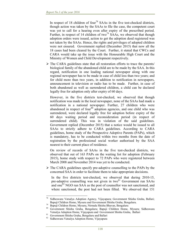In respect of 18 children of four<sup>78</sup> SAAs in the five test-checked districts, though action was taken by the SAAs to file the case, the competent court was yet to call for a hearing even after expiry of the prescribed period. Further, in respect of 14 children of two<sup>79</sup> SAAs, we observed that though adoption orders were issued, action to get the adoption deed registered was not taken by the SAAs. Hence, the rights and privileges of adopted children were not ensured. Government replied (December 2015) that now all the 18 cases had been cleared by the Court. Further, it stated that CWCs and CARA would take up the issue with the Honourable High Court and the Ministry of Women and Child Development respectively.

 $\triangleright$  The CARA guidelines state that all restoration efforts to trace the parents/ biological family of the abandoned child are to be made by the SAA. In this regard, notification in one leading national newspaper along with one regional newspaper has to be made in case of child less than two years; and for child more than two years, in addition to notification in newspapers, announcement in television or radio has to be made. Further, in case of both abandoned as well as surrendered children, a child can be declared legally free for adoption only after expiry of 60 days.

However, in the five districts test-checked, we observed that though notification was made in the local newspaper, none of the SAAs had made a notification in a national newspaper. Further, 27 children who were abandoned in respect of four<sup>80</sup> adoption agencies, and one child who was surrendered, were declared legally free for adoption before expiry of the 60 days waiting period and reconsideration period (in respect of surrendered child). This was in violation of the said guidelines. Government replied (December 2015) that a notice would be issued to all SAAs to strictly adhere to CARA guidelines. According to CARA guidelines, home study of the Prospective Adoptive Parents (PAPs), which is mandatory, has to be conducted within two months from the date of registration by the professional social worker authorised by the SAA nearest to their current place of residence.

On review of records of SAAs in the five test-checked districts, we observed that out of 163 PAPs on the waiting list for adoption (February 2015), home study with respect to 72 PAPs who were registered between March 2008 and November 2014 was yet to be conducted.

 $\triangleright$  The CARA guidelines specify pre-adoptive counselling to the PAPs by the concerned SAA in order to facilitate them to take appropriate decisions.

In the five districts test-checked, we observed that during 2010-15, pre-adoptive counselling was not given in two $^{81}$  Government run SAAs and one<sup>82</sup> NGO run SAA as the post of counsellor was not sanctioned, and where sanctioned, the post had not been filled. We observed that 151

<sup>78</sup> Sidheswara Vatsalya Adoption Agency, Vijayapura; Government Shishu Gruha, Ballari; Bapuji Children Home, Mysuru and Government Shishu Gruha, Bengaluru.<br>
<sup>79</sup> Bapuji Children Home, Mysuru, Nirmala Shishu Bhavan, Bengaluru<br>
<sup>80</sup> Gayamuzat, Shishu Gruha, Bangaluru, Bapuji, Children, Haru, Maru

<sup>80</sup> Government Shishu Gruha, Bengaluru; Bapuji Children Home, Mysuru; Sidheswara Vatsalya Adoption Home, Vijayapura and Government Shishu Gruha, Ballari<br><sup>81</sup> Government Shishu Gruha, Bengaluru and Ballari<br><sup>82</sup> Sidhoguran Vatsalua Adoption Home Vijayapure

Sidheswara Vatsalya Adoption Home, Vijayapura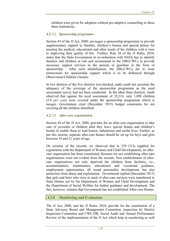children were given for adoption without pre-adoptive counselling in these three institutions.

#### *4.2.7.2 Sponsorship programme*

Section 43 of the JJ Act, 2000, envisages a sponsorship programme to provide supplementary support to families, children's homes and special homes for meeting the medical, educational and other needs of the children with a view to improving their quality of life. Further, Rule 38 of the JJ Rules, 2010, states that the State Government in co-ordination with NGOs has to identify families and children at risk and recommend to the JJBs/CWCs to provide necessary support services to the parents or guardian in the form of sponsorship. After such identification, the JJBs/CWCs are to issue instructions for sponsorship support which is to be disbursed through Observation/Children's homes.

In two districts of the five districts test-checked, audit could not ascertain the adequacy of the coverage of the sponsorship programme as the need assessment survey had not been conducted. In the other three districts, Audit observed that against the need assessment of 35,314, only 1,898 children (5.4 *per cent*) were covered under the sponsorship programme which is meagre. Government cited (December 2015) budget constraints for not covering all the children identified.

#### *4.2.7.3 After-care organisation*

Section 44 of the JJ Act, 2000, provides for an after-care organisation to take care of juveniles or children after they leave special homes and children's homes to enable them to lead honest, industrious and useful lives. Further, as per this section, separate after-care homes should be set up for boys and girls between 18 and 21 years of age.

On scrutiny of the records, we observed that in 329 CCIs (applied for registration with the Department of Women and Child Development), no aftercare organisation has been constituted. Reasons for not establishing after-care organisations were not evident from the records. Non establishment of aftercare organisations not only deprived the children from facilities, *viz*., accommodation, maintenance, educational and vocational guidance, employment opportunities, all round personality development, but also protection from abuse and exploitation. Government replied (December 2015) that girls and boys who were in need of after-care services were transferred to State Homes run by the Department of Women and Child Development and the Department of Social Welfare for further guidance and development. The fact, however, remains that Government has not established After-care Homes.

#### **4.2.8 Monitoring and Evaluation**

The JJ Act, 2000, and the JJ Rules, 2010, provide for the constitution of a State Advisory Board and Management Committee, inspection by District Inspection Committee and CWC/JJB, Social Audit and Annual Performance Review of the implementation of the JJ Act which help in monitoring as well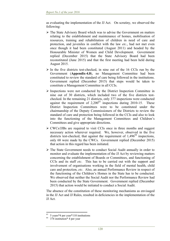as evaluating the implementation of the JJ Act. On scrutiny, we observed the following:

- $\triangleright$  The State Advisory Board which was to advise the Government on matters relating to the establishment and maintenance of homes, mobilisation of resources, training and rehabilitation of children in need of care and protection, and juveniles in conflict with the law *etc*., had not met even once though it had been constituted (August 2011) and headed by the Honourable Minister of Women and Child Development. Government replied (December 2015) that the State Advisory Board had been reconstituted (June 2015) and that the first meeting had been held during August 2015.
- $\triangleright$  In the five districts test-checked, in nine out of the 16 CCIs run by the Government (**Appendix-4.8**), no Management Committee had been constituted to review the standard of care being followed in the institutions. Government replied (December 2015) that steps would be taken to constitute a Management Committee in all CCIs.
- $\triangleright$  Inspections were not conducted by the District Inspection Committee in nine out of 30 districts, which included two of the five districts testchecked. In the remaining 21 districts, only 377 inspections were conducted against the requirement of  $2,200^{83}$  inspections during 2010-15. These District Inspection Committees were to be constituted under the chairmanship of the Deputy Commissioners of the Districts to review the standard of care and protection being followed in the CCIs and also to look into the functioning of the Management Committees and Children's Committees and give appropriate directions.
- $\triangleright$  CWCs/JJBs are required to visit CCIs once in three months and suggest necessary action wherever required. We, however, observed in the five districts test-checked, that against the requirement of  $1.496^{84}$  inspections, only 68 were made by the CWCs. Government replied (December 2015) that action in this regard has been initiated.
- The State Government needs to conduct Social Audit annually in order to monitor and evaluate the implementation of the JJ Act by reviewing matters concerning the establishment of Boards or Committees, and functioning of CCIs and its staff *etc*. This has to be carried out with the support and involvement of organisations working in the field of mental health, child care and protection, *etc*. Also, an annual Performance Review in respect of the functioning of the Children's Homes in the State has to be conducted. We observed that neither the Social Audit nor the Performance Review had been conducted by the State Government. Government replied (December 2015) that action would be initiated to conduct a Social Audit.

The absence of the constitution of these monitoring mechanisms as envisaged in the JJ Act and JJ Rules, resulted in deficiencies in the implementation of the JJ Act.

 83 5 years\*4 per year\*110 institutions

<sup>84 374</sup> institution\* 4 per year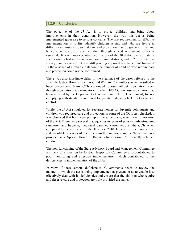# **4.2.9 Conclusion**

The objective of the JJ Act is to protect children and bring about improvements in their condition. However, the way this act is being implemented gives rise to serious concerns. The first requirement for effective implementation is to first identify children at risk and who are living in difficult circumstances, so that care and protection may be given in time, and hence identification of such children through a need assessment survey is essential. It was, however, observed that out of the 30 districts in Karnataka, such a survey had not been carried out in nine districts, and in 21 districts, the survey though carried out was still pending approval and hence not finalised. In the absence of a reliable database, the number of children who require care and protection could not be ascertained.

There was also inordinate delay in the clearance of the cases referred to the Juvenile Justice Board as well as Child Welfare Committees, which resulted in huge pendencies. Many CCIs continued to run without registration, even though registration was mandatory. Further, 103 CCIs whose registration had been rejected by the Department of Women and Child Development, for not complying with standards continued to operate, indicating lack of Government control.

While, the JJ Act stipulated for separate homes for Juvenile delinquents and children who required care and protection, in some of the CCIs test-checked, it was observed that both were put up in the same place, which was in violation of the Act. There were several inadequacies in terms of physical infrastructure, sanitation and hygiene, medicinal care, education *etc*., in the CCIs when compared to the norms set in the JJ Rules, 2010. Except for one paramedical staff available, services of doctor, counsellor and house mother/father were not provided in a Special Home in Ballari which housed 50 mentally retarded children.

The non-functioning of the State Advisory Board and Management Committee and lack of inspection by District Inspection Committee also contributed to poor monitoring and effective implementation, which contributed to the deficiencies in implementation of the JJ Act.

In view of these serious deficiencies, Governments needs to review the manner in which the act is being implemented at present so as to enable it to effectively deal with its deficiencies and ensure that the children who require and deserve care and protection are truly provided the same.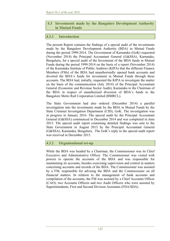#### **4.3 Investments made by the Bangalore Development Authority in Mutual Funds**

### **4.3.1 Introduction**

The present Report contains the findings of a special audit of the investments made by the Bangalore Development Authority (BDA) in Mutual Funds during the period 1999-2014. The Government of Karnataka (GoK) requested (November 2014) the Principal Accountant General (G&SSA), Karnataka, Bengaluru, for a special audit of the Investment of the BDA funds in Mutual Funds during the period 1999-2014 on the basis of a report (November 2014) of the Karnataka Institute of Public Auditors (KIPA) that the different Finance Members (FMs) of the BDA had unauthorisedly opened bank accounts and diverted the BDA's funds for investment in Mutual Funds through these accounts. The BDA had, initially, requested the KIPA to investigate the matter on the basis of the communication (July 2014) of the Principal Accountant General (Economic and Revenue Sector Audit), Karnataka to the Chairman of the BDA in respect of unauthorised diversion of BDA's funds to the Bangalore Metro Rail Corporation Limited (BMRCL).

The State Government had also ordered (December 2014) a parallel investigation into the investments made by the BDA in Mutual Funds by the State Criminal Investigation Department (CID), GoK. The investigation was in progress in January 2016. The special audit by the Principal Accountant General (G&SSA) commenced in December 2014 and was completed in June 2015. The special audit report containing detailed findings was sent to the State Government in August 2015 by the Principal Accountant General (G&SSA), Karnataka, Bengaluru. The GoK's reply to the special audit report was received in December 2015.

#### **4.3.2 Organisational set-up**

While the BDA was headed by a Chairman, the Commissioner was its Chief Executive and Administrative Officer. The Commissioner was vested with powers to operate the accounts of the BDA and was responsible for maintaining its accounts, besides exercising supervision and control in matters concerning accounts and records of the BDA. The Commissioner was assisted by a FM, responsible for advising the BDA and the Commissioner on all financial matters. In relation to the management of bank accounts and compilation of the accounts, the FM was assisted by a Chief Accounts Officer (CAO), two Accounts Officers and two Audit Officers who were assisted by Superintendents, First and Second Division Assistants (FDA/SDA).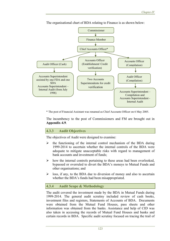The organisational chart of BDA relating to Finance is as shown below:



\* The post of Financial Assistant was renamed as Chief Accounts Officer on 6 May 2005.

The incumbency to the post of Commissioners and FM are brought out in **Appendix**-**4.9**.

#### **4.3.3 Audit Objectives**

The objectives of Audit were designed to examine:

- $\triangleright$  the functioning of the internal control mechanism of the BDA during 1999-2014 to ascertain whether the internal controls of the BDA were adequate to mitigate unacceptable risks with regard to management of bank accounts and investment of funds;
- $\triangleright$  how the internal controls pertaining to these areas had been overlooked, bypassed or overruled to divert the BDA's moneys to Mutual Funds and other organisations; and
- $\triangleright$  loss, if any, to the BDA due to diversion of money and also to ascertain whether the BDA's funds had been misappropriated.

# **4.3.4 Audit Scope & Methodology**

The audit covered the investment made by the BDA in Mutual Funds during 1999-2014. The general audit scrutiny included review of cash books, investment files and registers, Statements of Accounts of BDA. Documents were obtained from the Mutual Fund Houses, pass sheets and other information was obtained from the banks. Assistance and help of CID was also taken in accessing the records of Mutual Fund Houses and banks and certain records in BDA. Specific audit scrutiny focused on tracing the trail of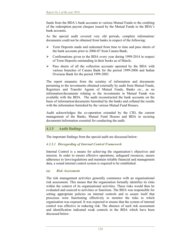funds from the BDA's bank accounts to various Mutual Funds to the crediting of the redemption payout cheques issued by the Mutual Funds to the BDA's bank accounts.

As the special audit covered very old periods, complete information/ documents could not be obtained from banks in respect of the following:

- Ferm Deposits made and redeemed from time to time and pass sheets of the bank accounts prior to 2006-07 from Canara Bank;
- $\triangleright$  Confirmations given to the BDA every year during 1999-2014 in respect of Term Deposits outstanding in their books as of March;
- Pass sheets of all the collection accounts operated by the BDA with various branches of Canara Bank for the period 1999-2006 and Indian Overseas Bank for the period 1999-2003.

The report emanates from the scrutiny of information and documents pertaining to the investments obtained externally by audit from Mutual Funds, Registrars and Transfer Agents of Mutual Funds, Banks *etc*., as no information/documents relating to the investments in Mutual Funds was available with the BDA. The audit reconstructed the bank accounts on the basis of information/documents furnished by the banks and collated the results with the information furnished by the various Mutual Fund Houses.

Audit acknowledges the co-operation extended by the CID, the current management of the Banks, Mutual Fund Houses and BDA in securing documents/information essential for conducting the audit.

# **4.3.5 Audit findings**

The important findings from the special audit are discussed below:

# *4.3.5.1 Disregarding of Internal Control Framework*

Internal Control is a means for achieving the organisation's objectives and mission. In order to ensure effective operations, safeguard resources, ensure adherence to laws/regulations and maintain reliable financial and management data, a sound internal control system is required to be established.

#### *(a) Risk Assessment*

The risk management activities generally commence with an organisational risk assessment. This means that the organisation formally identifies its risks within the context of its organisational activities. These risks would then be evaluated and sourced to activities or functions. The BDA was responsible for setting appropriate policies on internal controls and to assure itself that processes were functioning effectively to monitor the risks to which organisation was exposed. It was expected to ensure that the system of internal control was effective in reducing risk. The absence of such risk assessment and identification indicated weak controls in the BDA which have been discussed below: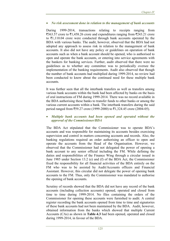#### *No risk assessment done in relation to the management of bank accounts*

During 1999-2014, transactions relating to receipts ranging from  $\overline{363.57}$  crore to  $\overline{31.458.26}$  crore and expenditures ranging from  $\overline{243.21}$  crore to  $\bar{\tau}$ 1,110.04 crore were conducted through bank accounts operated by the BDA with various banks. The audit, however, observed that the BDA had not adopted any approach to assess risk in relation to the management of bank accounts. It also did not have any policy or guidelines on operation of bank accounts such as when a bank account should be opened, who is authorised to open and operate the bank accounts, or entering into service agreements with the bankers for banking services. Further, audit observed that there were no guidelines as to whether any committee was to periodically oversee the implementation of the banking requirements. Audit also observed that though the number of bank accounts had multiplied during 1999-2014, no review had been conducted to know about the continued need for these multiple bank accounts.

It was further seen that all the interbank transfers as well as transfers among various bank accounts within the bank had been affected by banks on the basis of oral instructions of FM during 1999-2014. There was no record available in the BDA authorising these banks to transfer funds to other banks or among the various current accounts within a bank. The interbank transfers during the said period ranged from  $\overline{559.27}$  crore (1999-2000) to  $\overline{51,324.45}$  crore (2004-05).

#### *Multiple bank accounts had been opened and operated without the approval of the Commissioner/BDA*

The BDA Act stipulated that the Commissioner was to operate BDA's accounts and was responsible for maintaining its accounts besides exercising supervision and control in matters concerning accounts and records. Also, the banking regulations required an order authorising an officer to open and operate the accounts from the Head of the Organisation. However, we observed that the Commissioner had not delegated the power of opening a bank account to any senior official including the FM. While defining the duties and responsibilities of the Finance Wing through a circular issued in June 1985 under Section 13.2 (e) and (f) of the BDA Act, the Commissioner fixed the responsibility for all financial activities of the BDA entirely on the FM who was to be assisted by Audit/Accounts officers and Financial Assistant. However, this circular did not delegate the power of opening bank accounts to the FM. Thus, only the Commissioner was mandated to authorise the opening of bank accounts.

Scrutiny of records showed that the BDA did not have any record of the bank accounts (including collection accounts) opened, operated and closed from time to time during 1999-2014. No files containing the orders of the Commissioner for opening these accounts were furnished to audit. A central register recording the bank accounts opened from time to time and signatories of these bank accounts had not been maintained by the BDA. Audit, however, obtained information from the banks which showed that multiple Current Accounts (CAs) as shown in **Table**-**4.3** had been opened, operated and closed during 1999-2014, in favour of the BDA.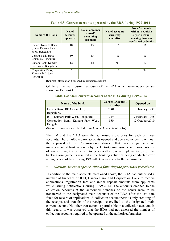| <b>Name of the Bank</b>                                       | No. of<br><i>accounts</i><br>operated | <b>No. of accounts</b><br>closed/<br>remaining<br>dormant | No. of accounts<br>currently<br>operative | No. of accounts<br>without requisite<br>signed account<br>opening forms as<br>confirmed by banks |
|---------------------------------------------------------------|---------------------------------------|-----------------------------------------------------------|-------------------------------------------|--------------------------------------------------------------------------------------------------|
| Indian Overseas Bank<br>(IOB), Kumara Park<br>West, Bengaluru | 18                                    | 13                                                        | 5                                         | 16                                                                                               |
| Canara Bank, BDA<br>Complex, Bengaluru                        | 30                                    | 15                                                        | 15                                        | 15                                                                                               |
| Canara Bank, Kumara<br>Park West, Bengaluru                   | 12                                    | 12                                                        | Nil                                       | 12                                                                                               |
| Corporation Bank,<br>Kumara Park West,<br>Bengaluru           | $\overline{2}$                        |                                                           |                                           | Nil                                                                                              |

**Table-4.3: Current accounts operated by the BDA during 1999-2014** 

(Source: Information furnished by respective banks)

Of these, the main current accounts of the BDA which were operative are shown in **Table-4.4.** 

**Table-4.4: Main current accounts of the BDA during 1999-2014** 

| Name of the bank                    | <b>Current Account</b><br><b>Number</b> | <b>Opened on</b> |
|-------------------------------------|-----------------------------------------|------------------|
| Canara Bank, BDA Complex,           | 2001                                    | 01 January 1991  |
| Bengaluru.                          |                                         |                  |
| IOB, Kumara Park West, Bengaluru    | 239                                     | 17 February 1998 |
| Corporation Bank, Kumara Park West, | 150                                     | 12 October 2010  |
| Bengaluru                           |                                         |                  |

(Source: Information collected from Annual Accounts of BDA)

The FM and the CAO were the authorised signatories for each of these accounts. Thus, multiple bank accounts opened and operated evidently without the approval of the Commissioner showed that lack of guidance on management of bank accounts by the BDA/Commissioner and non-existence of any oversight mechanism to periodically review implementation of the banking arrangements resulted in the banking activities being conducted over a long period of time during 1999-2014 in an uncontrolled environment.

#### *Collection Accounts opened without following the prescribed procedures*

In addition to the main accounts mentioned above, the BDA had authorised a number of branches of IOB, Canara Bank and Corporation Bank to receive applications, registration fees and initial deposit amounts from applicants while issuing notifications during 1999-2014. The amounts credited to the collection accounts at the authorised branches of the banks were to be transferred to the designated main accounts of the BDA after the last date fixed for receipt of applications. A collection account permits only crediting of the receipts and transfer of the receipts so credited to the designated main current account. No other transaction is permissible in a collection account. In this regard, it was observed that the BDA had not assessed the number of collection accounts required to be operated at the authorised branches.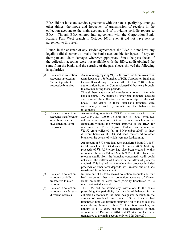BDA did not have any service agreements with the banks specifying, amongst other things, the mode and frequency of transmission of receipts in the collection account to the main account and of providing periodic reports to BDA. Though BDA entered into agreement with the Corporation Bank, Kumara Park West branch in October 2010, even it did not have service agreement to this level.

Hence, in the absence of any service agreements, the BDA did not have any legally valid document to make the banks accountable for lapses, if any, on their part and claim damages wherever appropriate. Since the pass sheets of the collection accounts were not available with the BDA, audit obtained the same from the banks and the scrutiny of the pass sheets showed the following irregularities:

| (a) | Balances in collection<br>accounts invested in<br>Term Deposits at<br>respective branches                | An amount aggregating $\overline{\tau}$ 1,712.88 crore had been invested in<br>term deposits at 156 branches of IOB, Corporation Bank and<br>Canara Bank during December 2001 to June 2004 without<br>authorisation from the Commissioner/FM but were brought<br>to accounts during those periods.<br>Though there was no actual transfer of amounts to the main<br>bank account, BDA operated a 'inter-bank transfers' account<br>and recorded the collection amount as receipts in the cash<br>The debits to these inter-bank transfers were<br>book.<br>subsequently cleared by transferring the balances to<br>investments. |
|-----|----------------------------------------------------------------------------------------------------------|---------------------------------------------------------------------------------------------------------------------------------------------------------------------------------------------------------------------------------------------------------------------------------------------------------------------------------------------------------------------------------------------------------------------------------------------------------------------------------------------------------------------------------------------------------------------------------------------------------------------------------|
| (b) | Balance in collection<br>accounts transferred to<br>other branches for<br>investment in Term<br>Deposits | An amount aggregating to $\overline{5}23.75$ crore was transferred (on<br>29.8.2000, 29.11.2000, 9.5.2001 and 16.7.2002) from two<br>collection accounts of IOB to its nine branches across<br>Bengaluru without the written approval of the BDA for<br>investment in Term Deposit. Further, an amount of<br>₹23.52 crore collected (as of 4 November 2003) in three<br>different branches of IOB had been transferred to other<br>branches, the details of which were not forthcoming.                                                                                                                                         |
|     |                                                                                                          | An amount of ₹70 crore had been transferred from CA 1587<br>to 14 branches of IOB during November 2003. Maturity<br>proceeds of $\overline{\xi}317.07$ crore had also been credited to this<br>account (February 2004 and March 2005). In the absence of<br>relevant details from the branches concerned, Audit could<br>not match the outflow of funds with the inflow of proceeds<br>credited. This implied that the redemption proceeds included<br>proceeds of other term deposits not invested out of funds<br>transferred from this account.                                                                              |
| (c) | Balance in collection<br>accounts partially<br>transferred to main<br>account                            | In three out of 46 test-checked collection accounts and four<br>bank accounts other than collection accounts of Canara<br>Bank, amounts collected were partially transferred to its<br>main designated account.                                                                                                                                                                                                                                                                                                                                                                                                                 |
| (d) | Balance in collection<br>accounts transferred at<br>different intervals                                  | The BDA had not issued any instructions to the banks<br>prescribing the periodicity for transfer of balances in the<br>collection accounts to the main designated account. In the<br>absence of mandated time frame, different branches had<br>transferred funds at different intervals. Out of the collections<br>made during March to June 2014 in two branches, an<br>amount of $\bar{\tau}$ 1.17 crore had not been transferred to main<br>account as of December 2014 and ₹2.04 crore had been<br>transferred to the main account only on 30th June 2014.                                                                  |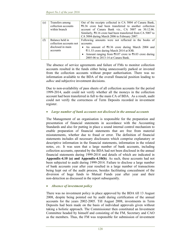| (e) | Transfers among<br>collection accounts<br>within branch                     | Out of the receipts collected in CA 5004 of Canara Bank,<br>$\overline{z}0.36$ crore had been transferred to another collection<br>account of Canara Bank viz., CA 5007 on 30.12.06.<br>Similarly, $\bar{x}0.16$ crore had been transferred from CA 5007 to<br>CA 5004 during March 2006 to February 2007. |
|-----|-----------------------------------------------------------------------------|------------------------------------------------------------------------------------------------------------------------------------------------------------------------------------------------------------------------------------------------------------------------------------------------------------|
| (f) | Balance held in<br>collection accounts not<br>disclosed in main<br>accounts | Following amounts were not reflected in the books of<br>accounts:<br>• An amount of $\overline{50.36}$ crore during March 2004 and<br>₹11.53 crore during March 2014 at IOB.<br>• Amount ranging from $\bar{x}0.07$ crore to $\bar{x}8.03$ crore during<br>2005-06 to 2013-14 at Canara Bank.              |

The absence of service agreements and failure of FMs to monitor collection accounts resulted in the funds either being unnecessarily parked or invested from the collection accounts without proper authorisation. There was no information available to the BDA of the overall financial position leading to *adhoc* and subjective investment decisions.

Due to non-availability of pass sheets of all collection accounts for the period 1999-2014, audit could not verify whether all the moneys in the collection account had been transferred in full to the main CA of BDA. As a result, audit could not verify the correctness of Term Deposits recorded in investment register.

### *Large number of bank accounts not disclosed in the annual accounts*

The Management of an organisation is responsible for the preparation and presentation of financial statements in accordance with the Accounting Standards and also for putting in place a sound internal control mechanism to enable preparation of financial statements that are free from material misstatements, whether due to fraud or error. The definition of financial statements includes all necessary disclosures which comprise explanatory or descriptive information in the financial statements, information in the related notes, *etc*. It was seen that a large number of bank accounts, including collection accounts, operated by the BDA had not been disclosed in the annual financial statements during 1999-2014 and details of which are indicated in **Appendix-4.10 (a) and Appendix-4.10(b)**. As such, these accounts had not been subjected to audit during 1999-2014. Failure to disclose a large number of bank accounts year after year resulted in a large number of transactions being kept out of the audit process, besides facilitating concealment of the diversion of huge funds to Mutual Funds year after year and their non-detection as discussed in the report subsequently.

### *Absence of investment policy*

There was no investment policy in place approved by the BDA till 13 August 2008, despite being pointed out by audit during certification of the annual accounts for the years 2002-2005. Till August 2008, investments in Term Deposits had been made on the basis of individual approvals given without taking a holistic approach. The Commissioner then constituted an Investment Committee headed by himself and consisting of the FM, Secretary and CAO as the members. Thus, the FM was responsible for submission of investment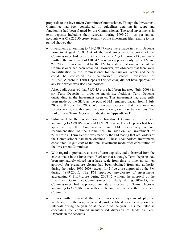proposals to the Investment Committee/Commissioner. Though the Investment Committee had been constituted, no guidelines detailing its scope and functioning had been framed by the Commissioner. The total investments in term deposits including their renewal, during 1999-2014 as per annual accounts was  $\bar{\tau}$ 18,222.50 crore. Scrutiny of the investment files relating to this period showed that:

Investments amounting to  $\overline{\ell}14,759.47$  crore were made in Term Deposits prior to August 2008. Out of the said investment, approval of the Commissioner had been obtained for only `1,911 crore (13 *per cent*). Further, the investment of  $\overline{3}101.42$  crore was approved only by the FM and  $\overline{23.70}$  crore was invested by the FM by stating that oral orders of the Commissioner had been obtained. However, we observed that there were no ratification by the Commissioner for the said oral orders and hence could be construed as unauthorised. Balance investment of `12,723.35 crore in Term Deposits (70 *per cent*) did not have approval of any kind which was also unauthorised.

Also, audit observed that  $\overline{3}150.45$  crore had been invested (July 2008) in six Term Deposits in order to match six fictitious Term Deposits outstanding in the Investment Register. This investment had apparently been made by the SDA as the post of FM remained vacant from 1 July 2008 to 9 November 2008. We, however, observed that there were no records available authorising the bank to carry out these transactions. The trail of these Term Deposits is indicated in **Appendix-4.11.**

- Subsequent to the constitution of Investment Committee, investment amounting to  $\overline{5}591.85$  crore and  $\overline{5}121.19$  crore in Term Deposits had been approved by the Commissioner and FM respectively without recommendation of the Committee. In addition, an investment of `200 crore in Term Deposit was made by the FM stating that oral orders of the Commissioner had been obtained. These unauthorised investments constituted 26 *per cent* of the total investment made after constitution of the Investment Committee.
- With regard to premature closure of term deposits, audit observed from the entries made in the Investment Register that although, Term Deposits had been prematurely closed on a large scale from time to time, no written approval for premature closure had been obtained from any authority during the period 1999-2008 (except for  $\bar{\tau}$  five crore approved by the FM during 1999-2001). The FM approved pre-closure of investments aggregating  $\overline{5411.09}$  crore during 2008-15 without the approval of the Investment Committee/Commissioner. Similarly during 2009-15, the Commissioner had approved premature closure of Term Deposits amounting to  $\overline{5}577.86$  crore without referring the matter to the Investment **Committee**
- It was further observed that there was also no system of physical verification of the original term deposit certificates either at periodical intervals during the year or at the end of the year. This facilitated in concealing the continued unauthorised diversion of funds as Term Deposits in the accounts.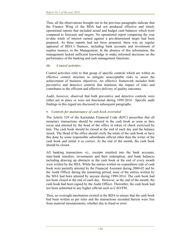Thus, all the observations brought out in the previous paragraphs indicate that the Finance Wing of the BDA had not produced effective and timely operational reports that included actual and budget cash balances which were compared to forecasts and targets. No operational report comparing the year to-date totals of interest earned against a pre-determined target had been prepared. As these reports had not been prepared, there was no regular appraisal of BDA's finances, including bank accounts and investment of surplus moneys, to the Management. In the absence of this information, the management lacked sufficient knowledge to make informed decisions on the performance of the banking and cash management functions.

## *(b) Control activities*

Control activities refer to that group of specific controls which are within an effective control structure to mitigate unacceptable risks to assist the achievement of business objectives. An effective framework includes both preventive and detective controls that minimise the impact of risks and contributes to the efficient and effective delivery of quality outcomes.

Audit, however, observed that both preventive and detective controls were either not in place or were not functional during 1999-2014. Specific audit findings in this regard are discussed in subsequent paragraphs.

### *Controls for maintenance of cash book overruled*

The Article 329 of the Karnataka Financial Code (KFC) prescribes that all monetary transactions should be entered in the cash book as soon as they occur and attested by the head of the office in token of check exercised by him. The cash book should be closed at the end of each day and the balance struck. The Head of the office should verify the totals of the cash book or have this done by some responsible subordinate official other than the writer of the cash book and initial it as correct. At the end of the month, the cash book should be closed.

All banking transactions *viz*., receipts remitted into the bank accounts, inter-bank transfers, investments and their redemption, and bank balances including drawing up abstracts in the cash book at the end of every month were written by the SDA. While the entries written on expenditure side of cash book were partially attested by the Financial Assistant during 2000-02 and by the Audit Officer during the remaining period, none of the entries written by the SDA had been attested by anyone during 1999-2014. The cash book had not been closed at the end of each day. However, at the end of the month, the cash book had been signed by the Audit Officer. Thereafter, the cash book had not been submitted to any higher official such as CAO/FM.

Thus, no oversight mechanism existed in the BDA to ensure that the cash book had been written as per rules and the transactions recorded therein were free from material misstatements, whether due to fraud or error.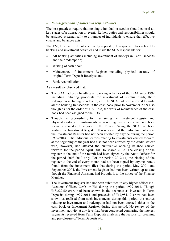# *Non-segregation of duties and responsibilities*

The best practices require that no single invidual or section should control all key stages of a transaction or event. Rather, duties and responsibilities should be assigned systematically to a number of individuals to ensure that effective checks and balances exist.

The FM, however, did not adequately separate job responsibilities related to banking and investment activities and made the SDA responsible for:

- All banking activities including investment of moneys in Term Deposits and their redemption;
- Writing of cash book;
- Maintenance of Investment Register including physical custody of original Term Deposit Receipts; and
- Bank reconciliation

As a result we observed that:

- The SDA had been handling all banking activities of the BDA since 1999 including initiating proposals for investment of surplus funds, their redemption including pre-closure, *etc*. The SDA had been allowed to write all the banking transactions in the cash book prior to November 2009 also though as per the order of July 1998, the work of maintenance of the cash book had been assigned to the FDA.
- Though the responsibility for maintaining the Investment Register and physical custody of instruments representing investments had not been formally allocated to anyone in the Finance Wing, the SDA had been writing the Investment Register. It was seen that the individual entries in the Investment Register had not been attested by anyone during the period 1999-2014. The individual entries relating to investments carried forward at the beginning of the year had also not been attested by the Audit Officer who, however, had attested the cumulative opening balance carried forward for the period April 2003 to March 2012. The closing of the register at the end of the month had been signed by the Audit Officer for the period 2003-2012 only. For the period 2012-14, the closing of the register at the end of every month had not been signed by anyone. Audit found from the investment files that during the period May 2001 and September 2004, the Investment Register had not been written up-to-date though the Financial Assistant had brought it to the notice of the Finance Member.
- The Investment Register had not been submitted to any higher officer *viz*., Accounts Officer, CAO or FM during the period 1999-2014. Though  $\overline{518,222.50}$  crore had been shown in the accounts as invested in Term Deposits during 1999-2014 and proceeds of  $\overline{\tau}$ 17,981.12 crore had been shown as realised from such investments during this period, the entries relating to investment and redemption had not been attested either in the cash book or Investment Register during this period. No review of the investment activity at any level had been conducted comparing the interest payments received from Term Deposits analysing the reasons for breaking and pre-closure of Term Deposits *etc*.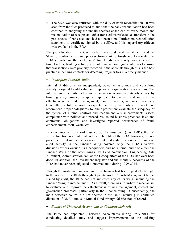• The SDA was also entrusted with the duty of bank reconciliation. It was seen from the files produced to audit that the bank reconciliation had been confined to analysing the unpaid cheques at the end of every month and reconciliation of receipts and other transactions reflected as transfers in the pass sheets of bank accounts had not been done. Further, no reconciliation statement, or certificate signed by the SDA, and his supervisory officers was available in the BDA.

The job allocation in the Cash section was so skewed that it facilitated the SDA to control a banking process from start to finish and to transfer the BDA's funds unauthorisedly to Mutual Funds persistently over a period of time. Further, banking activity was not reviewed on regular intervals to ensure that transactions were properly recorded in the accounts though this is the best practice in banking controls for detecting irregularities in a timely manner.

### *Inadequate Internal Audit*

Internal Auditing is an independent, objective assurance and consulting activity designed to add value and improve an organisation's operations. The internal audit activity helps an organisation accomplish its objectives by bringing a systematic, disciplined approach to evaluate and improve the effectiveness of risk management, control and governance processes. Generally, the Internal Audit is expected to verify the existence of assets and recommend proper safeguards for their protection; evaluate the adequacy of the system of internal controls and recommend any improvements; assess compliance with policies and procedures, sound business practices, laws and contractual obligations and investigate reported occurrences of fraud, embezzlement, theft, waste, *etc*.

In accordance with the order issued by Commissioner (June 1985), the FM was to function as an internal auditor. The FMs of the BDA, however, did not prescribe or put in place any system of internal audit procedures. The internal audit activity in the Finance Wing covered only the BDA's various divisions/offices outside its Headquarters and no internal audit of either the Finance Wing or the other wings like Land Acquisition, Engineering, Site Allotment, Administration *etc*., at the Headquarters of the BDA had ever been done. In addition, the Investment Register and the monthly accounts of the BDA had never been subjected to internal audit during 1999-2014.

Though the inadequate internal audit mechanism had been repeatedly brought to the notice of the BDA through Separate Audit Reports/Management letters issued by audit, the BDA had not subjected any of its wings including the Finance Wing to internal audit. As a result, there was no in-house mechanism to evaluate and improve the effectiveness of risk management, control and governance processes, particularly in the Finance Wing. Consequently, the main detective control did not operate in the BDA, resulting in continued diversion of BDA's funds to Mutual Fund through falsification of records.

### *Failure of Chartered Accountants to discharge their role*

The BDA had appointed Chartered Accountants during 1999-2014 for conducting detailed study and suggest improvements to the existing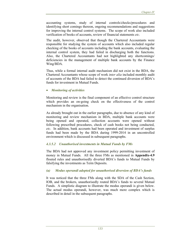accounting systems, study of internal controls/checks/procedures and identifying short comings thereon, ongoing recommendations and suggestions for improving the internal control systems. The scope of work also included verification of books of accounts, review of financial statements *etc*.

The audit, however, observed that though the Chartered Accountants were responsible for studying the system of accounts which also included regular checking of the books of accounts including the bank accounts, evaluating the internal control system, they had failed in discharging both the functions. Also, the Chartered Accountants had not highlighted any shortcomings/ deficiencies in the management of multiple bank accounts by the Finance Wing/BDA.

Thus, while a formal internal audit mechanism did not exist in the BDA, the Chartered Accountants whose scope of work *inter alia* included monthly audit of accounts of the BDA had failed to detect the continued diversion of BDA's funds for investment in Mutual Funds.

### *Monitoring of activities*

Monitoring and review is the final component of an effective control structure which provides an on-going check on the effectiveness of the control mechanism in the organisation.

As already brought out in the earlier paragraphs, due to absence of any kind of monitoring and review mechanism in BDA, multiple bank accounts were being opened and operated, collection accounts were opened without following prescribed procedures, check of cash books not being conducted, *etc*. In addition, bank accounts had been operated and investment of surplus funds had been made by the BDA during 1999-2014 in an uncontrolled environment which is discussed in subsequent paragraphs.

### *4.3.5.2 Unauthorised investments in Mutual Funds by FMs*

The BDA had not approved any investment policy permitting investment of money in Mutual Funds. All the three FMs as mentioned in **Appendix-4.9** flouted rules and unauthorisedly diverted BDA's funds to Mutual Funds by falsifying the investments as Term Deposits.

### *(a) Modus operandi adopted for unauthorised diversion of BDA's funds*

It was noticed that the three FMs along with the SDA of the Cash Section, IOB, and the brokers, unauthorisedly routed BDA's funds to several Mutual Funds. A simplistic diagram to illustrate the modus operandi is given below. The actual modus operandi, however, was much more complex which is described in detail in the subsequent paragraphs.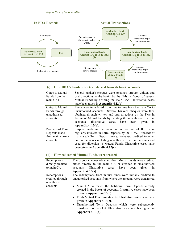

#### **(i) How BDA's funds were transferred from its bank accounts**

| Outgo to Mutual   | Several banker's cheques were obtained through written and   |  |  |  |  |  |  |
|-------------------|--------------------------------------------------------------|--|--|--|--|--|--|
| Funds from the    | oral directions to the banks by the FMs in favour of several |  |  |  |  |  |  |
| main CAs          | Mutual Funds by debiting the main CAs. Illustrative cases    |  |  |  |  |  |  |
|                   | have been given in Appendix-4.12(a).                         |  |  |  |  |  |  |
| Outgo to Mutual   | Funds were transferred from time to time from the main CA to |  |  |  |  |  |  |
| Funds through     | unauthorised accounts. Several banker's cheques were then    |  |  |  |  |  |  |
| unauthorised      | obtained through written and oral directions by the FMs in   |  |  |  |  |  |  |
| accounts          | favour of Mutual Funds by debiting the unauthorised current  |  |  |  |  |  |  |
|                   | accounts. Illustrative cases have<br>been<br>given<br>1n     |  |  |  |  |  |  |
|                   | $Appendix-4.12(b)$ .                                         |  |  |  |  |  |  |
| Proceeds of Term  | Surplus funds in the main current account of IOB were        |  |  |  |  |  |  |
| Deposits made     | regularly invested in Term Deposits by the BDA. Proceeds of  |  |  |  |  |  |  |
| from main current | many such Term Deposits were, however, credited to other     |  |  |  |  |  |  |
| accounts          | current accounts including unauthorised current accounts and |  |  |  |  |  |  |
|                   | used for diversion to Mutual Funds. Illustrative cases have  |  |  |  |  |  |  |
|                   | been given in Appendix-4.12 $(c)$ .                          |  |  |  |  |  |  |

#### **(ii) How redeemed Mutual Funds were treated**

| Redemptions       | The payout cheques obtained from Mutual Funds were credited                                                                                             |  |  |  |  |
|-------------------|---------------------------------------------------------------------------------------------------------------------------------------------------------|--|--|--|--|
| directly credited | either directly to the main CA or credited to unauthorised                                                                                              |  |  |  |  |
| to main CA        | accounts. Illustrative cases have been<br>given<br>1n                                                                                                   |  |  |  |  |
|                   | Appendix-4.13 $(a)$ .                                                                                                                                   |  |  |  |  |
| Redemptions       | The redemptions from mutual funds were initially credited to                                                                                            |  |  |  |  |
| credited through  | unauthorised accounts, from where the amounts were transferred                                                                                          |  |  |  |  |
| unauthorised      | to                                                                                                                                                      |  |  |  |  |
| accounts          | • Main CA to match the fictitious Term Deposits already<br>created in the books of accounts. Illustrative cases have been<br>given in Appendix-4.13(b). |  |  |  |  |
|                   | • Fresh Mutual Fund investments. Illustrative cases have been                                                                                           |  |  |  |  |
|                   | given in Appendix-4.13 $(c)$ .                                                                                                                          |  |  |  |  |
|                   | • Unauthorised Term Deposits which were subsequently                                                                                                    |  |  |  |  |
|                   | transferred to main CA. Illustrative cases have been given in                                                                                           |  |  |  |  |
|                   | Appendix-4.13 $(d)$ .                                                                                                                                   |  |  |  |  |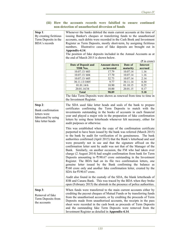| Step $1$ :<br>By creating fictitious<br>Term Deposits in the<br>BDA's records                      | Whenever the banks debited the main current accounts at the time of<br>issuing Banker's cheques or transferring funds to the unauthorised<br>accounts, such debits were recorded in the Cash Book and Investment<br>Register as Term Deposits, mostly short-term, by assigning fictitious<br>Illustrative cases of fake deposits are brought out in<br>numbers.<br>Appendix-4.14.<br>The position of fake deposits included in the Annual Accounts as at<br>the end of March 2015 is shown below.<br>$(\overline{\tau}$ in crore)                                                                                                                                                                                                                                                                                                                                                                                                                                                                                                                                                                                                                                                                                                                                                                  |             |          |         |
|----------------------------------------------------------------------------------------------------|----------------------------------------------------------------------------------------------------------------------------------------------------------------------------------------------------------------------------------------------------------------------------------------------------------------------------------------------------------------------------------------------------------------------------------------------------------------------------------------------------------------------------------------------------------------------------------------------------------------------------------------------------------------------------------------------------------------------------------------------------------------------------------------------------------------------------------------------------------------------------------------------------------------------------------------------------------------------------------------------------------------------------------------------------------------------------------------------------------------------------------------------------------------------------------------------------------------------------------------------------------------------------------------------------|-------------|----------|---------|
|                                                                                                    | <b>Date of Deposit and</b><br>Date of<br><b>Amount shown</b><br><b>Interest</b>                                                                                                                                                                                                                                                                                                                                                                                                                                                                                                                                                                                                                                                                                                                                                                                                                                                                                                                                                                                                                                                                                                                                                                                                                    |             |          |         |
|                                                                                                    | <b>TDR Nos.</b>                                                                                                                                                                                                                                                                                                                                                                                                                                                                                                                                                                                                                                                                                                                                                                                                                                                                                                                                                                                                                                                                                                                                                                                                                                                                                    | as invested | maturity | accrued |
|                                                                                                    | 10.07.13/603                                                                                                                                                                                                                                                                                                                                                                                                                                                                                                                                                                                                                                                                                                                                                                                                                                                                                                                                                                                                                                                                                                                                                                                                                                                                                       | 17.79       | 10.07.14 | 1.16    |
|                                                                                                    | 10.07.13/604                                                                                                                                                                                                                                                                                                                                                                                                                                                                                                                                                                                                                                                                                                                                                                                                                                                                                                                                                                                                                                                                                                                                                                                                                                                                                       | 17.70       | 10.07.14 | 1.16    |
|                                                                                                    | 10.07.13/605                                                                                                                                                                                                                                                                                                                                                                                                                                                                                                                                                                                                                                                                                                                                                                                                                                                                                                                                                                                                                                                                                                                                                                                                                                                                                       | 32.73       | 10.07.14 | 2.14    |
|                                                                                                    | 30.11.13/1005                                                                                                                                                                                                                                                                                                                                                                                                                                                                                                                                                                                                                                                                                                                                                                                                                                                                                                                                                                                                                                                                                                                                                                                                                                                                                      | 9.77        | 30.11.14 | 0.30    |
|                                                                                                    | 01.01.14/6                                                                                                                                                                                                                                                                                                                                                                                                                                                                                                                                                                                                                                                                                                                                                                                                                                                                                                                                                                                                                                                                                                                                                                                                                                                                                         | 10.90       | 01.10.15 | 0.25    |
|                                                                                                    | 20.01.14/34                                                                                                                                                                                                                                                                                                                                                                                                                                                                                                                                                                                                                                                                                                                                                                                                                                                                                                                                                                                                                                                                                                                                                                                                                                                                                        | 10.00       | 20.01.15 | 0.17    |
|                                                                                                    | <b>Total</b>                                                                                                                                                                                                                                                                                                                                                                                                                                                                                                                                                                                                                                                                                                                                                                                                                                                                                                                                                                                                                                                                                                                                                                                                                                                                                       | 98.89       |          | 5.18    |
|                                                                                                    | The fake Term Deposits were shown as renewed from time to time in<br>the Investment Register.                                                                                                                                                                                                                                                                                                                                                                                                                                                                                                                                                                                                                                                                                                                                                                                                                                                                                                                                                                                                                                                                                                                                                                                                      |             |          |         |
| Step $2$ :<br><b>Bank</b> confirmation<br>letters were<br>fabricated by using<br>fake letter heads | The SDA used fake letter heads and seals of the bank to prepare<br>certificates confirming the Term Deposits to match with the<br>investments outstanding in the books of accounts in each financial<br>year and played a major role in the preparation of fake confirmation<br>letters by using these letterheads whenever felt necessary, either for<br>audit purposes or otherwise.<br>This was established when the copy of the confirmation certificate<br>purported to have been issued by the bank was referred (March 2015)<br>to the bank by audit for verification of its genuineness. The bank<br>authorities confirmed (April 2015) that the Bank's letterhead and seal<br>were presently not in use and that the signature affixed on the<br>confirmation letter sent by audit was not that of the Manager of the<br>Similarly, on another occasion, the FM who had taken over<br>Bank.<br>charge (2 August 2014) had sought confirmation from bank for Term<br>Deposits amounting to $\overline{\xi}$ 190.67 crore outstanding in the Investment<br>Register. The BDA had on its file two confirmation letters, one<br>genuine letter issued by the Bank confirming the balance as<br>₹160 crore only and another fake confirmation letter, created by the<br>SDA for ₹190.67 crore. |             |          |         |
|                                                                                                    | Audit also found in the custody of the SDA, the blank letterheads of<br>IOB and Canara Bank. This was traced by the BDA when they broke<br>open (February 2015) the almirah in the presence of police authorities.                                                                                                                                                                                                                                                                                                                                                                                                                                                                                                                                                                                                                                                                                                                                                                                                                                                                                                                                                                                                                                                                                 |             |          |         |
| Step $3$ :<br>Removal of fake<br>Term Deposits from<br>the accounts                                | When funds were transferred to the main current accounts either by<br>crediting the payout cheques of Mutual Funds or by transferring funds<br>from the unauthorised accounts, or by crediting the proceeds of Term<br>Deposits made from unauthorised accounts, the receipts in the pass<br>sheet were recorded in the cash book as proceeds of Term Deposits<br>and the outstanding fake Term Deposits were removed from the<br>Investment Register as detailed in Appendix-4.14.                                                                                                                                                                                                                                                                                                                                                                                                                                                                                                                                                                                                                                                                                                                                                                                                                |             |          |         |

### **(iii) How the accounts records were falsified to ensure continued non-detection of unauthorised diversion of funds**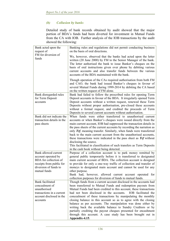# *(b) Collusion by banks*

Detailed study of bank records obtained by audit showed that the major portion of BDA's funds had been diverted for investment in Mutual Funds from the CA with IOB. Further analysis of the IOB transactions by the audit showed the following:

| Bank acted upon the<br>request of                                                                                                         | Banking rules and regulations did not permit conducting business<br>on the basis of oral directions.                                                                                                                                                                                                                                                                                                                                                                                                                                                                                                                                                                                             |
|-------------------------------------------------------------------------------------------------------------------------------------------|--------------------------------------------------------------------------------------------------------------------------------------------------------------------------------------------------------------------------------------------------------------------------------------------------------------------------------------------------------------------------------------------------------------------------------------------------------------------------------------------------------------------------------------------------------------------------------------------------------------------------------------------------------------------------------------------------|
| FM for diversion of<br>funds                                                                                                              | We, however, observed that the banks had acted upon the letter<br>written (20 June 2000) by FM to the Senior Manager of the bank.<br>The letter authorised the bank to issue Banker's cheques on the<br>basis of oral instructions given over phone by debiting various<br>current accounts and also transfer funds between the various<br>accounts of the BDA maintained with the bank.                                                                                                                                                                                                                                                                                                         |
|                                                                                                                                           | Though operation of the CAs required authorisation from both FM<br>and CAO, the bank had issued Banker's cheques in favour of<br>several Mutual Funds during 1999-2014 by debiting the CA based<br>on the written request of FM alone.                                                                                                                                                                                                                                                                                                                                                                                                                                                           |
| Bank disregarded rules<br>for Term Deposit<br>accounts                                                                                    | Bank had failed to follow the prescribed rules for opening Term<br>Deposit accounts in favour of the BDA. It irregularly opened Term<br>Deposit accounts without a written request, renewed these Term<br>Deposits without proper authorisation, pre-closed these accounts<br>without a formal request, and credited the proceeds of Term<br>Deposits to several current accounts without authorisation.                                                                                                                                                                                                                                                                                         |
| Bank did not indicate the<br>transaction details in the<br>pass sheets                                                                    | When funds were either transferred to unauthorised current<br>accounts or when Banker's cheques were issued directly from the<br>main current account, IOB had suppressed the transaction details in<br>the pass sheets of the current accounts by recording the narration as<br>only Trf, meaning transfer. Similarly, when funds were transferred<br>back to the main current account from the unauthorised accounts,<br>these transactions were indicated in the pass sheet as Trf without<br>disclosing the source.<br>This facilitated in classification of such transfers as Term Deposits<br>in the cash book without being detected.                                                     |
| Bank allowed current<br>account operated by<br>BDA for collection of<br>receipts from public for<br>diversion of funds to<br>mutual funds | Purpose of a collection account is to park money remitted by<br>general public temporarily before it is transferred to designated<br>main current account of BDA. The collection account is designed<br>to provide for only a one-way traffic of collection and transfer of<br>moneys to designated main account and cannot be used for any<br>other purpose.<br>Bank had, however, allowed current account operated for<br>collection purposes for diversion of funds to mutual funds.                                                                                                                                                                                                          |
| <b>Bank</b> facilitated<br>concealment of<br>unauthorised<br>transactions in a current<br>account disclosed in the<br>accounts            | Though funds from a current account disclosed in the accounts had<br>been transferred to Mutual Funds and redemption payouts from<br>Mutual Funds had been credited to this account, these transactions<br>had not been disclosed in the accounts.<br>IOB facilitated the<br>concealment of these transactions by manipulating the monthly<br>closing balance in this account so as to agree with the closing<br>balance as per accounts. The manipulation was done either by<br>writing back the available balance to Sundry Creditors or by<br>partially crediting the payout cheques presented for encashment<br>through this account. A case study has been brought out in<br>Appendix-4.15. |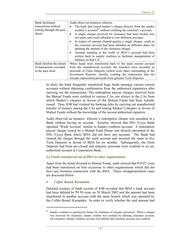| <b>Bank</b> facilitated                                    | Audit observed instances wherein -                                                                                                                                                                                                                                                                                                                                                                                                                                                                                                                                                                                                  |
|------------------------------------------------------------|-------------------------------------------------------------------------------------------------------------------------------------------------------------------------------------------------------------------------------------------------------------------------------------------------------------------------------------------------------------------------------------------------------------------------------------------------------------------------------------------------------------------------------------------------------------------------------------------------------------------------------------|
| transactions without<br>routing through the pass<br>sheets | The bank had issued banker's cheque directly from the sundry<br>$\bullet$<br>creditor's account <sup>85</sup> without crediting the customer's account.<br>A single cheque received for clearance had been broken into<br>٠<br>two parts and credit afforded to two different accounts.<br>In respect of amount cleared against a single cheque, credit to<br>$\bullet$<br>the customer account had been afforded on different dates, by<br>splitting the amount of the clearance cheque.<br>Amount standing at the credit of BDA's account had been<br>$\bullet$<br>written back to sundry creditors to facilitate manipulation of |
|                                                            | balances in that CA.                                                                                                                                                                                                                                                                                                                                                                                                                                                                                                                                                                                                                |
|                                                            |                                                                                                                                                                                                                                                                                                                                                                                                                                                                                                                                                                                                                                     |
| Bank falsified the details                                 | When funds were transferred back to the main current account                                                                                                                                                                                                                                                                                                                                                                                                                                                                                                                                                                        |
| of transactions recorded                                   | from the unauthorised account, the transfers were recorded as                                                                                                                                                                                                                                                                                                                                                                                                                                                                                                                                                                       |
| in the pass sheet                                          | proceeds of Term Deposits (which were fake) outstanding in the                                                                                                                                                                                                                                                                                                                                                                                                                                                                                                                                                                      |
|                                                            | Investment Register, thereby creating the impression that the                                                                                                                                                                                                                                                                                                                                                                                                                                                                                                                                                                       |
|                                                            | receipts represented proceeds from genuine Term Deposits.                                                                                                                                                                                                                                                                                                                                                                                                                                                                                                                                                                           |

In short, the bank frequently transferred huge funds amongst various current accounts without obtaining confirmation from the authorised signatories after carrying out the transactions. The redemption payout cheques received from the Mutual Funds were credited to various CAs, not always to the CAs from which Banker's cheques in favour of the Mutual Funds had been initially issued. Thus, IOB had violated the banking rules by carrying out unauthorised transfer of moneys among the CAs and issuing Banker's cheques in favour of Mutual Funds without the knowledge of the second authorised signatory.

Audit observed an instance, wherein a redemption cheque was encashed at a Bank without having an account. Scrutiny showed that ING Vysya Bank operated 'Wash Account' similar to Sundry creditors account. A redemption payout cheque issued by a Mutual Fund House was directly presented at the ING Vysya Bank where BDA did not have any account. The Bank had cleared the cheque through the wash account and invested the same in five Term Deposits in favour of BDA for six months. Subsequently, the Term Deposits had been pre-closed and maturity proceeds were credited to an unauthorised account at Corporation Bank. .

### *(c) Funds transferred out of BDA to other organisations*

Apart from the funds diverted to Mutual Funds, audit noticed that  $\bar{\tau}$ 10.67 crore had been transferred on four occasions to other organisations which did not have any business connection with the BDA. These misappropriation cases are discussed below:

#### *Coffee Board, Karnataka*

Detailed scrutiny of bank records of IOB revealed that BDA's bank account had been debited by  $\text{\textsterling}4.50$  crore on 28 March 2002 and the amount had been transferred to another account with the same branch which was operated by the Coffee Board, Karnataka. In order to verify whether the said amount had

Sundry creditors is operated by banks for clearance of cheques presented. When a cheque was received for clearance, sundry creditor was credited by debiting clearance account. On clearance, Sundry creditors account was debited and customer account was credited.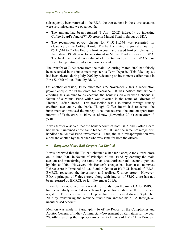subsequently been returned to the BDA, the transactions in these two accounts were scrutinised and we observed that

- The amount had been returned (3 April 2002) indirectly by investing Coffee Board's fund of  $\overline{z}4.50$  crore in Mutual Fund in favour of BDA.
- The redemption payout cheque for  $\overline{54,55,11,644}$  was presented for clearance by the Coffee Board. The bank credited a partial amount of `5,11,644 to Coffee Board's bank account and issued banker's cheque for the balance  $\texttt{F4.50}$  crore for investment in Mutual Fund in favour of BDA. The bank facilitated concealment of this transaction in the BDA's pass sheet by operating sundry creditors account.

The transfer of  $\text{\textsterling}4.50$  crore from the main CA during March 2002 had falsely been recorded in the investment register as Term Deposit. This fake deposit had been cleared during July 2002 by redeeming an investment earlier made in Birla Sunlife Mutual Fund by BDA.

On another occasion, BDA submitted (25 November 2002) a redemption payout cheque for  $\bar{\tau}$ 1.04 crore for clearance. It was noticed that without crediting this amount to its account, the bank issued a banker's cheque in favour of a Mutual Fund which was invested in the name of Director of Finance, Coffee Board. This transaction was also routed through sundry creditors account by the bank. Though Coffee Board had redeemed the investment and realised the money, it had not returned the amount apart from interest of  $\bar{\mathfrak{e}}$ 1.68 crore to BDA as of now (November 2015) even after 13 years.

It was further observed that the bank account of both BDA and Coffee Board had been maintained at the same branch of IOB and the same brokerage firm handled the Mutual Fund investments. Thus, the said misappropriation was aided and abetted by the banker who was same for both the offices.

### *Bangalore Metro Rail Corporation Limited*

It was observed that the FM had obtained a Banker's cheque for  $\bar{\tau}$  three crore on 14 June 2007 in favour of Principal Mutual Fund by debiting the main account and transferring the same to an unauthorised bank account operated by him at IOB. However, this Banker's cheque had been used to invest ` three crore in Principal Mutual Fund in favour of BMRCL instead of BDA. BMRCL redeemed the investment and realised  $\bar{\tau}$  three crore. However, BDA's principal of  $\bar{\tau}$  three crore along with interest of  $\bar{\tau}3.07$  crore has not been returned by BMRCL so far (November 2015).

It was further observed that a transfer of funds from the main CA to BMRCL had been falsely recorded as a Term Deposit for 91 days in the investment register. This fictitious Term Deposit had been cleared during September 2007 by transferring the requisite fund from another main CA through an unauthorised account.

Mention was made in Paragraph 4.16 of the Report of the Comptroller and Auditor General of India (Commercial)-Government of Karnataka for the year 2008-09 regarding the improper investment of funds of BMRCL in Principal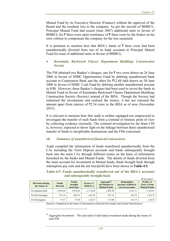Mutual Fund by its Executive Director (Finance) without the approval of the Board and the resultant loss to the company. As per the records of BMRCL, Principal Mutual Fund had issued (June 2007) additional units in favour of BMRCL for  $\bar{\tau}$  three crore upon remittance of  $\bar{\tau}$  three crore by the broker on his own volition to compensate the company for the loss sustained.

It is pertinent to mention here that BDA's funds of  $\bar{\tau}$  three crore had been unauthorisedly diverted from one of its bank accounts to Principal Mutual Fund for issue of additional units in favour of BMRCL.

### *Karnataka Backward Classes Department Buildings Construction Society*

The FM obtained two Banker's cheques, one for  $\bar{\tau}$  two crore drawn on 26 June 2006 in favour of HSBC Opportunities Fund by debiting unauthorised bank account in Corporation Bank and the other for  $\bar{\tau}$ 12.68 lakh drawn on 30 June 2006 in favour of HSBC Cash Fund by debiting another unauthorised account in IOB. However, these Banker's cheques had been used to invest the funds in Mutual Fund in favour of Karnataka Backward Classes Department Buildings Construction Society (Society) instead of the BDA. Though the Society had redeemed the investments and realised the money, it has not returned the amount apart from interest of  $\overline{z}2.54$  crore to the BDA as of now (November 2015).

It is relevant to mention here that audit is neither equipped nor empowered to investigate the transfer of such funds from a criminal or forensic point of view by collecting evidence externally. The criminal investigation by the State CID is, however, expected to throw light on the linkage between these unauthorised transfer of funds to inexplicable destinations and the FMs concerned.

### *(d) Summary of unauthorised financial transactions*

Audit compiled the information of funds transferred unauthorisedly from the CAs including the Term Deposit accounts and funds subsequently brought back into the main CAs through different routes on the basis of information furnished by the banks and Mutual Funds. The details of funds diverted from the main account for investment in Mutual funds, funds brought back through redemption pay outs and the net loss/profit have been shown in **Table-4.5.** 

#### **Table-4.5: Funds unauthorisedly transferred out of the BDA's accounts and subsequently brought back**   $(\bar{z}$  in crore)

| <b>Diversion during</b><br>the tenure of | <b>Funds</b><br>diverted | <b>Funds</b><br>brought<br>back later | Excess $(+)$<br>$/$ Deficit $(-)$ | Aggregate <sup>86</sup><br>investments in<br><b>Mutual Funds</b> | Redemption<br>payouts credited to<br>current accounts | $\overline{u}$ using $\overline{v}$<br>Profit $(+)/$<br>$Loss(-) from$<br><b>Mutual Funds</b> |
|------------------------------------------|--------------------------|---------------------------------------|-----------------------------------|------------------------------------------------------------------|-------------------------------------------------------|-----------------------------------------------------------------------------------------------|
| Sri Sandeep Dash                         | 3.439.64                 | 3.478.24                              | $(+)$ 38.60                       | 2.202.90                                                         | 2.241.51                                              | $(+)38.61$                                                                                    |
| Sri M.N.Seshappa                         | 531.24                   | 489.35                                | $(-)41.89$                        | 567.55                                                           | 530.79                                                | $(-)36.76$                                                                                    |
| Sri B.Ganganna                           | 75.57                    | 75.30                                 | $(-)0.27$                         | 133.00                                                           | 132.75                                                | $(-)0.25$                                                                                     |

(Source: Compiled on the basis of information collected from banks and mutual fund houses)

<sup>86</sup> Aggregate investment – The sum total of individual investment made during the tenure of each FM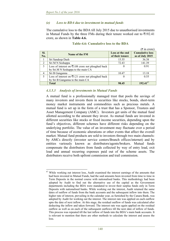### *(e) Loss to BDA due to investment in mutual funds*

The cumulative loss to the BDA till July 2015 due to unauthorised investments in Mutual Funds by the three FMs during their tenure worked out to  $\overline{\tau}192.41$ crore, as shown in **Table**-**4.6.**

|            |                                                                |                                    | $(\overline{\tau}$ in crore)              |
|------------|----------------------------------------------------------------|------------------------------------|-------------------------------------------|
| SI.<br>No. | Name of the FM                                                 | Loss at the end<br>of their tenure | <b>Cumulative loss</b><br>as of July 2015 |
|            | Sri Sandeep Dash                                               | 15.55                              | 36.38                                     |
| 2          | Sri M N Seshappa                                               | 72.43                              | 141.39                                    |
| 3          | Loss of interest on $\overline{3}3.08$ crore not ploughed back | 0                                  | 0.91                                      |
|            | by Sri.M N Seshappa to the main CA                             |                                    |                                           |
| 4          | Sri B Ganganna                                                 | 10.47                              | 13.18                                     |
| 5          | Loss of interest on $\overline{5}5.21$ crore not ploughed back | $\theta$                           | 0.55                                      |
|            | by Sri B Ganganna to the main CA                               |                                    |                                           |
|            | <b>Total</b>                                                   | 98.45                              | $192.41^{87}$                             |

#### **Table-4.6: Cumulative loss to the BDA**

### *4.3.5.3 Analysis of investments in Mutual Funds*

A mutual fund is a professionally managed trust that pools the savings of many investors and invests them in securities like stocks, bonds, short-term money market instruments and commodities such as precious metals. A mutual fund is set up in the form of a trust that has a Sponsor, Trustees and Asset Management Company (AMC). Investors get units of the mutual fund allotted according to the amount they invest. As mutual funds are invested in different securities like stocks or fixed income securities, depending upon the fund's objectives, different schemes have different risks depending on the underlying portfolio. The value of an investment may fluctuate over a period of time because of economic alterations or other events that affect the overall market. Mutual fund products are sold to investors through two main channels: by AMCs directly (investor service centers/Branch offices/internet) and by entities variously known as distributors/agents/brokers. Mutual funds compensate the distributors from funds collected by way of entry load, exit load and annual recurring expenses paid out of the scheme assets. The distributors receive both upfront commission and trail commission.

  $87$  While working out interest loss, Audit examined the interest earnings of the amounts that had been invested in Mutual Funds, had the said amounts been invested from time to time in Term Deposits in the normal course with nationalised banks. This methodology had been adopted by Audit to find out the alternative use of the capital as the Government departments including the BDA were mandated to invest their surplus funds only in Term Deposits with nationalised banks. While working out the interest, Audit retained the same dates of outflow of funds from the bank accounts and the subsequent inflow into them. The higher rate of interest, prevailing in the calendar year, as furnished by the Canara Bank, was adopted by Audit for working out the interest. The interest rate was applied on each outflow upto the date of next inflow. At this stage, the residual outflow of funds was calculated after deducting the inflow and taken forward. The interest rate was again applied on the residual outflow as well as on each of the subsequent outflows till the next date of inflow of funds. This process was repeated till the last inflow of funds into the BDA's main bank accounts. It is relevant to mention that there are other methods to calculate the interest and assess the loss.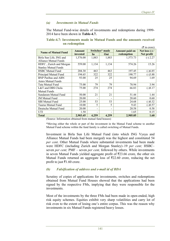### *(a) Investments in Mutual Funds*

The Mutual Fund-wise details of investments and redemptions during 1999- 2014 have been shown in **Table-4.7.** 

|                             |               |       |                |                | $(\bar{\tau}$ in crore) |
|-----------------------------|---------------|-------|----------------|----------------|-------------------------|
| <b>Name of Mutual Fund</b>  | <b>Amount</b> |       | Switches* made | Amount paid on | Net loss $(-)$ /        |
|                             | invested      | In    | Out            | redemption     | Net profit              |
| Birla Sun Life, ING and     | 1,576.00      | 1,883 | 1,883          | 1,573.73       | $(-) 2.27$              |
| Alliance Mutual Funds       |               |       |                |                |                         |
| HDFC, Zurich and Morgan     | 559.00        | 1,134 | 1,134          | 574.26         | 15.26                   |
| <b>Stanley Mutual Funds</b> |               |       |                |                |                         |
| <b>HSBC</b> Mutual Fund     | 204.30        | 463   | 463            | 197.45         | $(-)6.85$               |
| Principal Mutual Fund       | 194.65        | 322   | 322            | 190.77         | $(-)3.88$               |
| <b>BNP Paribas and ABN</b>  | 93.00         | 25    | 25             | 94.69          | 1.69                    |
| <b>Amro Mutual Funds</b>    |               |       |                |                |                         |
| Tata Mutual Fund            | 75.00         | 79    | 79             | 78.94          | 3.94                    |
| L&T and DBS Chola           | 75.00         | 274   | 274            | 66.83          | $(-)8.17$               |
| <b>Mutual Funds</b>         |               |       |                |                |                         |
| Sundaram Mutual Fund        | 50.00         | 21    | 21             | 51.44          | 1.44                    |
| <b>JM Mutual Fund</b>       | 20.00         |       |                | 20.60          | 0.60                    |
| <b>SBI</b> Mutual Fund      | 25.00         | 53    | 53             | 24.68          | $(-)0.32$               |
| Taurus Mutual Fund          | 10.00         | 5     | 5              | 9.43           | $(-)0.57$               |
| Deutsche Mutual Fund        | 20.00         |       |                | 20.58          | 0.58                    |
| UTI                         | 1.50          |       |                | 1.65           | 0.15                    |
| <b>Total</b>                | 2,903.45      | 4,259 | 4,259          | 2,905.05       | 1.60                    |

#### **Table-4.7: Investments made in Mutual Funds and the amounts received on redemption**

(Source: Information obtained from mutual fund houses)

\*Moving either the whole or part of the investment in the Mutual Fund scheme to another Mutual Fund scheme within the fund family is called switching of Mutual Funds.

Investment in Birla Sun Life Mutual Fund (into which ING Vysya and Alliance Mutual Funds had been merged) was the highest and constituted 54 *per cent*. Other Mutual Funds where substantial investments had been made were HDFC (including Zurich and Morgan Stanley)–19 *per cent;* HSBC– seven *per cent;* PMF – seven *per cent,* followed by others. While investments in seven Mutual Funds yielded aggregate profit of  $\overline{2}23.66$  crore, the other six Mutual Funds returned an aggregate loss of  $\overline{222.60}$  crore, reducing the net profit to just  $\bar{\tau}$ 1.60 crore.

### *(b) Falsification of address and e-mail id of BDA*

Scrutiny of copies of applications for investments, switches and redemptions obtained from Mutual Fund Houses showed that the applications had been signed by the respective FMs, implying that they were responsible for the investments.

Most of the investments by the three FMs had been made in open-ended, high risk equity schemes. Equities exhibit very sharp volatilities and carry lot of risk even to the extent of losing one's entire corpus. This was the reason why investments in six Mutual Funds registered heavy losses.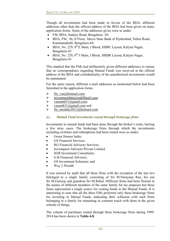Though all investments had been made in favour of the BDA, different addresses other than the official address of the BDA had been given on many application forms. Some of the addresses given were as under:

- FM, BDA, Sankey Road, Bengaluru- 20;
- BDA, FM, #6, II Floor, Above State Bank of Hyderabad, Nehru Road, Kammanahalli, Bengaluru-84;
- $\bullet$  BDA, No. 229,  $8^{th}$  E Main, I Block, HSBC Layout, Kalyan Nagar, Bengaluru-43
- BDA, No. 229, 8<sup>th</sup> 5 Main, I Block, HRBR Layout, Kalyan Nagar, Bengaluru-43

This implied that the FMs had deliberately given different addresses to ensure that no correspondence regarding Mutual Funds was received at the official address of the BDA and confidentiality of the unauthorised investments would be maintained.

For the same reason, different e-mail addresses as mentioned below had been furnished in the application forms.

- $\triangleright$  fin vsa@hotmail.com;
- $\triangleright$  investmentbda@rediffmail.com;
- $\triangleright$  vassanth31@gmail.com;
- $\triangleright$  vasanth31@gmail.com and
- $\triangleright$  fin member2012@hotmail.com

### *(c) Mutual Fund investments routed through brokerage firms*

Investments in mutual funds had been done through the broker's route, barring a few stray cases. The brokerage firms through which the investments including switches and redemptions had been routed were as under:

- Green Homes India;
- GS Financial Services;
- RG Financial Advisory Services;
- Investquest Advisors Private Limited
- SGR Investment Consultants;
- G.R.Financial Advisors;
- GS Investment Solutions; and
- Way 2 Wealth

It was noticed by audit that all these firms with the exception of the last two belonged to a single family consisting of Sri M.Narayana Rao, his son Sri M.Gururaj and grandson Sri M.Rahul. Different firms had been flouted in the names of different members of the same family for tax purposes but these firms represented a single source for routing funds to the Mutual Funds. It is interesting to note that all the three FMs preferred only these brokerage firms for investing in Mutual Funds, indicating their collusion with such firms belonging to a family for remaining in constant touch with them in the given scheme of things.

The volume of purchases routed through these brokerage firms during 1999- 2014 has been shown in **Table-4.8.**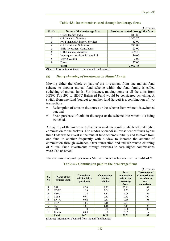|                |                                         | $(\bar{z}$ in crore)              |
|----------------|-----------------------------------------|-----------------------------------|
| <b>Sl. No.</b> | Name of the brokerage firm              | Purchases routed through the firm |
|                | Green Homes India                       | 811.80                            |
| $\mathcal{D}$  | <b>GS</b> Financial Services            | 1,363.25                          |
| 3              | <b>RG Financial Advisory Services</b>   | 52.00                             |
| 4              | GS Investment Solutions                 | 275.00                            |
|                | <b>SGR Investment Consultants</b>       | 23.00                             |
| h              | G.R.Financial Advisors                  | 309.40                            |
| 7              | <b>Investquest Advisors Private Ltd</b> | 30.00                             |
| 8              | Way 2 Wealth                            | 2.00                              |
| 9              | Direct                                  | 37.00                             |
|                | <b>Total</b>                            | 2,903.45                          |

#### **Table-4.8: Investments routed through brokerage firms**

(Source:Information obtained from mutual fund houses)

#### *(d) Heavy churning of investments in Mutual Funds*

Moving either the whole or part of the investment from one mutual fund scheme to another mutual fund scheme within the fund family is called switching of mutual funds. For instance, moving some or all the units from HDFC Top 200 to HDFC Balanced Fund would be considered switching. A switch from one fund (source) to another fund (target) is a combination of two transactions.

- Redemption of units in the source or the scheme from where it is switched out; and
- Fresh purchase of units in the target or the scheme into which it is being switched.

A majority of the investments had been made in equities which offered higher commission to the brokers. The modus operandi in investment of funds by the three FMs was to invest in the mutual fund schemes initially and to move from one fund to another frequently with a view to increase the amount of commission through switches. Over-transaction and indiscriminate churning of Mutual Fund investments through switches to earn higher commissions were also observed.

The commission paid by various Mutual Funds has been shown in **Table-4.9**

| <b>Table-4.9 Commission paid to the prokerage firms</b> |                                   |                                                    |                                           |                                                                 |                                                                              |  |
|---------------------------------------------------------|-----------------------------------|----------------------------------------------------|-------------------------------------------|-----------------------------------------------------------------|------------------------------------------------------------------------------|--|
|                                                         |                                   |                                                    |                                           |                                                                 | $(\overline{\tau}$ in crore)                                                 |  |
| SI.<br>No.                                              | Name of the<br><b>Mutual Fund</b> | <b>Commission</b><br>paid for initial<br>purchases | <b>Commission</b><br>paid for<br>switches | <b>Total</b><br>commission<br>paid to the<br>brokerage<br>firms | Percentage of<br><b>Commission for</b><br>switches to<br>total<br>commission |  |
|                                                         | <b>BSL</b>                        | 8.70                                               | 19.25                                     | 27.95                                                           | 69                                                                           |  |
| 2                                                       | <b>HDFC</b>                       | 1.29                                               | 7.04                                      | 8.33                                                            | 85                                                                           |  |
| 3                                                       | <b>HSBC</b>                       | 1.74                                               | 3.32                                      | 5.06                                                            | 66                                                                           |  |
| $\overline{4}$                                          | L & T                             | 0.01                                               | 2.32                                      | 2.33                                                            | 100                                                                          |  |
| 5                                                       | <b>TATA</b>                       | 0.02                                               | 0.37                                      | 0.39                                                            | 95                                                                           |  |
| 6                                                       | <b>BNP</b>                        | 1.85                                               | 0.16                                      | 2.01                                                            | 8                                                                            |  |
| 7                                                       | PMF                               | 3.01                                               | 1.16                                      | 4.17                                                            | 28                                                                           |  |
| 8                                                       | <b>SBI</b>                        | $\Omega$                                           | 0.38                                      | 0.38                                                            | 100                                                                          |  |
| 9                                                       | Taurus                            | 0.09                                               | $\Omega$                                  | 0.09                                                            |                                                                              |  |
|                                                         | <b>Total</b>                      | 16.71                                              | 34.00                                     | 50.71                                                           | 67                                                                           |  |

# **Table-4.9 Commission paid to the brokerage firms**

(Source: Information obtained from mutual fund houses)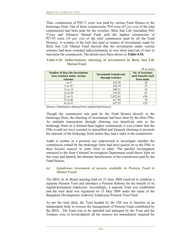Thus, commission of  $\overline{50.71}$  crore was paid by various Fund Houses to the brokerage firms. Out of these commissions,  $\overline{3}34$  crore (67 *per cent* of the total commission) had been paid for the switches. Birla Sun Life (including ING Vysya and Alliance) Mutual Fund paid the highest commission of `27.95 crore (55 *per cent* of the total commission paid by all the Fund Houses). A scrutiny of the trail fees paid in respect of investments made by Birla Sun Life Mutual Fund showed that the investments under various schemes had been switched indiscriminately at very short intervals of time to maximise the commission. The details have been shown in **Table-4.10.** 

| Table-4.10: Indiscriminate churning of investments in Birla Sun Life |  |  |  |  |
|----------------------------------------------------------------------|--|--|--|--|
| <b>Mutual Fund</b>                                                   |  |  |  |  |

|                                                                          |                                                   | $(\bar{z}$ in crore)                                       |
|--------------------------------------------------------------------------|---------------------------------------------------|------------------------------------------------------------|
| Number of days the investments<br>were retained under various<br>schemes | <b>Investment transferred</b><br>through switches | <b>No. of occasions</b><br>such transfers had<br>been made |
| $1 \text{ to } 5$                                                        | 252.58                                            | 30                                                         |
| 6 to 10                                                                  | 326.74                                            | 37                                                         |
| 11 to 15                                                                 | 389.21                                            | 54                                                         |
| 16 to 20                                                                 | 553.81                                            | 63                                                         |
| 21 to 31                                                                 | 2,857.61                                          | 476                                                        |
| $32$ to 60                                                               | 617.02                                            | 76                                                         |
| 61 to 91                                                                 | 657.53                                            | 125                                                        |

(Source: Information obtained from mutual fund houses)

Though the commission was paid by the Fund Houses directly to the brokerage firms, the churning of investments had been done by the three FMs. As multiple transactions through churning was beneficial only to the brokerage firms as it fetched them higher commission, it was evident that the FMs would not have resorted to unjustified and frequent churning to promote the interests of the brokerage firms unless they had a stake in the commission.

Audit is neither in a position nor empowered to investigate whether the commission earned by the brokerage firms had been passed on to the FMs or their *benami* sources in some form or other. The parallel investigation entrusted to the State Criminal Investigation Department could throw light on this issue and identify the ultimate beneficiaries of the commission paid by the Fund Houses.

### *(e) Injudicious investment of moneys available in Pension Fund in Mutual Funds*

The BDA in its Board meeting held on 23 June 2008 resolved to establish a separate Pension Trust and introduce a Pension Scheme for the benefit of its regular/permanent employees. Accordingly, a separate Trust was established and the trust deed was registered on 15 May 2009 under the name of the Bangalore Development Authority Employees Pension Trust Fund.

As per the trust deed, the Trust headed by the FM was to function as an independent body to oversee the management of Pension Fund contributed by the BDA. The Fund was to be operated and managed by the Trust and the Trustees were to invest/deposit all the moneys not immediately required for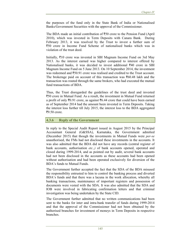the purposes of the fund only in the State Bank of India or Nationalised Banks/Government Securities with the approval of the Commissioner.

The BDA made an initial contribution of  $\overline{550}$  crore to the Pension Fund (April 2010), which was invested in Term Deposits with Canara Bank. During February 2013, it was resolved by the Trust to invest a further sum of  $\overline{550}$  crore in Income Fund Scheme of nationalised banks which was in violation of the trust deed.

Initially,  $\bar{\tau}10$  crore was invested in SBI Magnum Income Fund on 3rd May 2013. As the interest earned was higher compared to interest offered by Nationalised banks, it was decided to invest additional  $\bar{\tau}40$  crore in SBI Magnum Income Fund on 5 June 2013. On 10 September 2014, the investment was redeemed and  $\text{\textsterling}50.91$  crore was realised and credited to the Trust account. The brokerage paid on account of this transaction was  $\bar{\tau}60.48$  lakh and the transaction was routed through the same brokers, who had executed the mutual fund transactions of BDA.

Thus, the Trust disregarded the guidelines of the trust deed and invested `50 crore in Mutual Fund. As a result, the investment in Mutual Fund returned a profit of only  $\bar{z}$ 0.91 crore, as against  $\bar{z}$ 6.44 crore that could have been earned as of September 2014 had the amount been invested in Term Deposits. Taking the interest loss further till July 2015, the interest loss to the BDA aggregated  $\overline{59.50}$  crore.

### **4.3.6 Reply of the Government**

In reply to the Special Audit Report issued in August 2015 by the Principal Accountant General (G&SSA), Karnataka, the Government admitted (December 2015) that though the investments in Mutual Funds were *per-se* unauthorised, the FMs had not disclosed these investments in the accounts. It was also admitted that the BDA did not have any records (central register of bank accounts, authorisation *etc.,)* of bank accounts opened, operated and closed during 1999-2014, and as pointed out by audit, several bank accounts had not been disclosed in the accounts as these accounts had been opened without authorisation and had been operated exclusively for diversion of the BDA's funds to Mutual Funds.

The Government further accepted the fact that the SDA of the BDA misused the responsibility entrusted to him to control the banking process and diverted BDA's funds and that there was a lacuna in the work allocation, whereby all banking transactions, maintenance of important registers and possession of documents were vested with the SDA. It was also admitted that the SDA and IOB were involved in fabricating confirmation letters and that criminal investigation was being undertaken by the State CID.

The Government further admitted that no written communications had been sent to the banks for inter and intra-bank transfer of funds during 1999-2014 and that the approval of the Commissioner had not been obtained by the authorised branches for investment of moneys in Term Deposits in respective branches.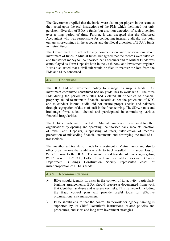The Government replied that the banks were also major players in the scam as they acted upon the oral instructions of the FMs which facilitated not only persistent diversion of BDA's funds, but also non-detection of such diversion over a long period of time. Further, it was accepted that the Chartered Accountant who was responsible for conducting internal audit did not point out any shortcomings in the accounts and the illegal diversion of BDA's funds in mutual funds.

The Government did not offer any comments on audit observations about investment of funds in Mutual funds, but agreed that the records were falsified and transfer of money to unauthorised bank accounts and to Mutual Funds was camouflaged as Term Deposits both in the Cash book and Investment register. It was also stated that a civil suit would be filed to recover the loss from the FMs and SDA concerned.

## **4.3.7 Conclusion**

The BDA had no investment policy to manage its surplus funds. An investment committee constituted had no guidelines to work with. The three FMs during the period 1999-2014 had violated all principles of financial propriety, failed to maintain financial records as per the provisions of KFC and to conduct internal audit, did not ensure proper checks and balances through segregation of duties of staff in the finance wing. The SDA, banks and brokerage firms aided, abetted and participated in committing various financial irregularities.

The BDA's funds were diverted to Mutual Funds and transferred to other organisations by opening and operating unauthorised bank accounts, creation of fake Term Deposits, suppressing of facts, falsification of records, preparation of misleading financial statements and destroying the trail of all transactions.

The unauthorised transfer of funds for investment in Mutual Funds and also to other organisations that audit was able to track resulted in financial loss of `205.85 crore to the BDA. The unauthorised transfer of funds aggregating `6.17 crore to BMRCL, Coffee Board and Karnataka Backward Classes Department Buildings Construction Society represented cases of misappropriation of BDA's funds.

### **4.3.8 Recommendations**

- $\triangleright$  BDA should identify its risks in the context of its activity, particularly banking arrangements. BDA should prepare a documented framework that identifies, analyses and assesses key risks. This framework including the fraud control plan will provide useful tools for effective organisational risk management.
- $\triangleright$  BDA should ensure that the control framework for agency banking is supported by its Chief Executive's instructions, related policies and procedures, and short and long term investment strategies.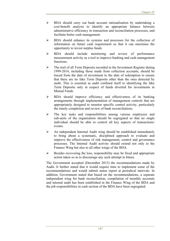- BDA should carry out bank account rationalisation by undertaking a cost-benefit analysis to identify an appropriate balance between administrative efficiency in transaction and reconciliation processes, and facilitate better cash management.
- BDA should enhance its systems and processes for the collection of information on future cash requirement so that it can maximise the opportunity to invest surplus funds.
- $\triangleright$  BDA should include monitoring and review of performance measurement activity as a tool to improve banking and cash management functions.
- The trail of all Term Deposits recorded in the Investment Register during 1999-2014, including those made from collection accounts, should be traced from the date of investment to the date of redemption to ensure that there are no fake Term Deposits other than the ones detected by audit. This is essential as audit confined itself to identifying the fake Term Deposits only in respect of funds diverted for investments in Mutual Funds.
- BDA should improve efficiency and effectiveness of its banking arrangements through implementation of management controls that are appropriately designed to monitor specific control activity, particularly the timely completion and review of bank reconciliations.
- The key tasks and responsibilities among various employees and sub-units of the organisation should be segregated so that no single individual should be able to control all key aspects of transactions/ events.
- An independent Internal Audit wing should be established immediately to bring about a systematic, disciplined approach to evaluate and improve the effectiveness of risk management, control and governance processes. The Internal Audit activity should extend not only to the Finance Wing but also to all other wings of the BDA.
- $\triangleright$  Besides recovering the loss, responsibility may be fixed and appropriate action taken so as to discourage any such attempt in future.

The Government accepted (December 2015) the recommendations made by Audit. It further stated that it would require time to implement some of the recommendations and would submit status report at periodical intervals. In addition, Government stated that based on the recommendations, a separate independent wing for bank reconciliation, compilation of monthly accounts and internal audit has been established in the Finance Wing of the BDA and the job responsibilities in cash section of the BDA have been segregated.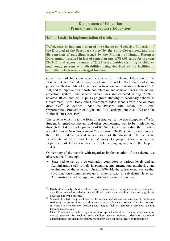# **Department of Education (Primary and Secondary Education)**

### **4.4 Laxity in implementation of a scheme**

**Deficiencies in implementation of the scheme on 'Inclusive Education of the Disabled at the Secondary Stage' by the State Government and also disregarding of guidelines issued by the Ministry of Human Resource Development resulted in loss of central grants of** `**18.93 crore for the year 2009-12, and excess payment of** `**1.85 crore besides resulting in children and young persons with disabilities being deprived of the facilities in education which were envisaged for them.** 

Government of India envisaged a scheme of 'Inclusive Education of the Disabled at the Secondary Stage' (Scheme) to enable all children and young persons with disabilities to have access to secondary education (classes IX to XII) and to improve their enrolment, retention and achievements in the general education system. The scheme which was implemented during 2009-10 covered all children of 14 plus age group studying at secondary schools in Government, Local Body and Government aided schools with one or more disabilities<sup>88</sup> as defined under the Persons with Disabilities (Equal Opportunities, Protection of Rights and Full Participation) Act, 1995 and the National Trust Act, 1999.

The scheme which is in the form of assistance for the two components<sup>89</sup>  $viz$ . Student Oriented component and other components, was to be implemented through the Education Department of the State Government directly. Further, it could involve Non Government Organisations (NGOs) having experience in the field of education and rehabilitation of the disabled. In the State, Directorate of Urdu and Other Minority Language Schools under the Department of Education was the implementing agency with the help of NGOs.

On scrutiny of the records with regard to implementation of the scheme, we observed the following:

 $\triangleright$  State had to set up a co-ordination committee at various levels and an Administrative cell to help in planning, implementation, monitoring and evaluation of the scheme. During 2009-14, there, however, was neither co-ordination committee set up at State, district or sub district level nor Administrative cell set up to monitor and evaluate the scheme.

 <sup>88</sup> Disabilities namely, blindness, low vision, leprosy cured, hearing impairment, locomotors disabilities, mental retardation, mental illness, autism and cerebral palsy are eligible for coverage under the scheme.<br><sup>89</sup> Student Oriented Component such as, for medical and educational assessment, books and

stationery, uniforms, transport allowance, reader allowance, stipend for girls, support services, assistive devices, boarding and lodging facility, therapeutic services, teaching learning materials *etc*.

Other Components, such as appointment of special education teachers, allowances for normal teachers for teaching such children, teacher training, orientation to school administrators, provision of resource room, provision for barrier free environment *etc*.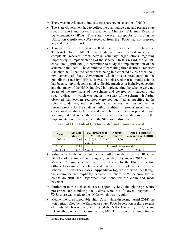- $\triangleright$  There was no evidence to indicate transparency in selection of NGOs.
- $\triangleright$  The State Government had to collect the quantitative data and prepare state specific report and forward the same to Ministry of Human Resource Development (MHRD). The State, however, except for forwarding the Utilisation Certificates (UCs) received from the NGOs had not prepared any state specific report.
- > Though UCs for the years 2009-12 were forwarded as detailed in **Table-4.11** to the MHRD, the funds were not released in view of complaints received from certain voluntary organisations regarding impropriety in implementation of the scheme. In this regard, the MHRD constituted (April 2012) a committee to study the implementation of the scheme in the State. The committee after visiting three districts<sup>90</sup> reported (October 2012) that the scheme was being implemented by NGOs without involvement of State Government which was contradictory to the guidelines issued by MHRD. It was also observed that no model schools had been set up to develop good replicable practices in inclusive education and that many of the NGOs involved in implementing the scheme were not aware of the provisions of the scheme and covered only students with specific disability which was against the spirit of the scheme. It further observed that teachers recruited were not qualified as specified in the scheme guidelines, most schools lacked access facilities as well as resource rooms for the students with disabilities, no proper assessment of educational needs of children and each child had not been provided with learning material as per their needs. Further, recommendations for better implementation of the scheme in the State were also given.

| Table-4.11: Details of UCs forwarded and amount received |  |
|----------------------------------------------------------|--|
|----------------------------------------------------------|--|

|             |          |                          |               | $(\bar{z}$ in crore) |  |  |
|-------------|----------|--------------------------|---------------|----------------------|--|--|
| Year        | Amount   | <b>UC</b> forwarded to   | <b>Amount</b> | Date of receipt of   |  |  |
|             | utilised | <b>MHRD</b> on           | received      | amount from MHRD     |  |  |
| 2009-10     | 3.95     | $6/2010$ , $11/2010$ and | 1.70          | 6/2014               |  |  |
|             |          | 2/2011                   |               |                      |  |  |
| 2010-11     | 11.89    | Proposal not approved    |               |                      |  |  |
| $2011 - 12$ | 21.49    | 6/2014                   | 16.70         | 6/2014               |  |  |

- $\triangleright$  Subsequent to the report of the committee constituted by MHRD, the Director of the implementing agency constituted (January 2013) a three Member Committee at the Taluk level headed by the Block Education Officer to examine the claims and evaluate the implementation of the scheme. In test-check cases (**Appendix-4.16**), we observed that though the committee had explicitly declared the claim of  $\overline{51.85}$  crore by the NGOs doubtful, the Department had honoured the claim and made payment.
- Further, in four test-checked cases **(Appendix-4.17),** though the procedure prescribed for admitting the claims were not followed, payment of  $\text{\textsterling}0.33$  crore was made to the NGOs which was irregular.
- $\triangleright$  Meanwhile, the Honourable High Court while disposing (April 2014) the writ petition filed by the Karnataka State NGOs Federation seeking release of funds which was overdue, directed the MHRD to verify the UCs and release the payments. Consequently, MHRD restricted the funds for the

 90 Bengaluru, Kolar and Tumakuru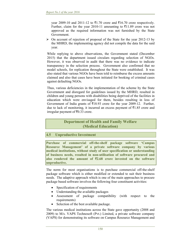year 2009-10 and 2011-12 to  $\bar{\tau}$ 1.70 crore and  $\bar{\tau}$ 16.70 crore respectively. Further, claim for the year 2010-11 amounting to  $\overline{\tau}$ 11.89 crore was not approved as the required information was not furnished by the State Government.

 $\triangleright$  On account of rejection of proposal of the State for the year 2012-13 by the MHRD, the implementing agency did not compile the data for the said year.

While replying to above observations, the Government stated (December 2015) that the department issued circulars regarding selection of NGOs. However, it was observed in audit that there was no evidence to indicate transparency in the selection process. Government also confirmed that no model schools, for replication throughout the State were established. It was also stated that various NGOs have been told to reimburse the excess amounts claimed and also that cases have been initiated for booking of criminal cases against defaulting NGOs.

Thus, various deficiencies in the implementation of the scheme by the State Government and disregard for guidelines issued by the MHRD, resulted in children and young persons with disabilities being deprived of the facilities in education which were envisaged for them, besides resulting in loss of Government of India grants of  $\overline{\tau}18.93$  crore for the year 2009-12. Further, due to lack of monitoring, it incurred an excess payment of  $\bar{\tau}1.85$  crore and irregular payment of  $\bar{\tau}$ 0.33 crore.

# **Department of Health and Family Welfare (Medical Education)**

### **4.5 Unproductive Investment**

**Purchase of commercial off-the-shelf package software 'Campus Resource Management' of a private software company by various medical institutions, without study of user specification or understanding of business needs, resulted in non-utilisation of software procured and**  also rendered the amount of  $\overline{22.68}$  crore invested on the software **unproductive.** 

The norm for most organisations is to purchase commercial off-the-shelf package software which is either modified or extended to suit their business needs. The adaptive approach which is one of the main approaches to procure package based software involves the following four constituent activities:

- Specification of requirements
- Understanding the available packages
- Assessment of package compatibility (with respect to the requirements)
- Selection of the best available package.

The various medical institutions across the State gave opportunity (2008 and 2009) to M/s. VAPS Technosoft (Pvt.) Limited, a private software company (VAPS) for demonstrating its software on Campus Resource Management and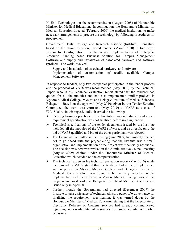Hi-End Technologies on the recommendation (August 2008) of Honourable Minister for Medical Education. In continuation, the Honourable Minister for Medical Education directed (February 2009) the medical institutions to make necessary arrangements to procure the technology by following procedures for procurement.

Government Dental College and Research Institute (Institute), Bengaluru based on the above direction, invited tenders (March 2010) in two cover system for Configuration, Installation and Implementation of Enterprise Resource Planning based Business Solution for Campus Management Software and supply and installation of associated hardware and software (project). The work involved:

- Supply and installation of associated hardware and software
- Implementation of customisation of readily available Campus Management Software.

In response to tenders, only two companies participated in the tender process and the proposal of VAPS was recommended (May 2010) by the Technical Expert who in his Technical evaluation report stated that the tenderer had quoted for all the modules and had also implemented similar projects in Mysore Medical College, Mysuru and Belagavi Institute of Medical Sciences, Belagavi. Based on the approval (May 2010) given by the Tender Scrutiny Committee, the work was entrusted (May 2010) to VAPS at a cost of  $\overline{570.18}$  lakh. In this regard, audit observed the following:

- $\triangleright$  Existing business practices of the Institution was not studied and a user requirement specification was not finalised before inviting tenders.
- $\triangleright$  Technical specifications of the tender documents issued by the Institute included all the modules of the VAPS software, and as a result, only the bid of VAPS qualified and bid of the other participant was rejected.
- $\triangleright$  The Financial Committee in its meeting (June 2009) had initially decided not to go ahead with the project citing that the Institute was a small organisation and implementation of the project was financially not viable. The decision was however revised in the Administrative Council meeting (August 2009) chaired under the Honourable Minister of Medical Education which decided on the computerisation.
- $\triangleright$  The technical expert in his technical evaluation report (May 2010) while recommending VAPS stated that the tenderer had already implemented similar project in Mysore Medical College and Belagavi Institute of Medical Sciences which was found to be factually incorrect as the implementation of the software in Mysore Medical College was still in progress and work order in Belagavi Institute of Medical Sciences was issued only in April 2010.
- Further, though the Government had directed (December 2009) the Institute to take assistance of technical advisory panel of e-governance for finalising the requirement specification, it was turned down by the Honourable Minister of Medical Education stating that the Directorate of Electronic Delivery of Citizens Services had already communicated regarding non-availability of resources for such activity on earlier occasions.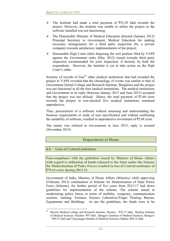- $\triangleright$  The Institute had made a total payment of  $\overline{52.50}$  lakh towards the project. However, the institute was unable to utilise the project as the software installed was not functioning.
- $\triangleright$  The Honourable Minister of Medical Education directed (January 2012) Principal Secretary to Government, Medical Education for making necessary arrangements for a third party inspection (by a private company) towards satisfactory implementation of the project.
- $\triangleright$  Honourable High Court while disposing the writ petition filed by VAPS against the Government order (May 2012) issued towards third party inspection recommended for joint inspection, if desired, by both the respondents. However, the Institute is yet to take action on the High Court's order.

Scrutiny of records of four<sup>91</sup> other medical institutions that had awarded the project to VAPS revealed that the chronology of events was similar to that of Government Dental College and Research Institute, Bengaluru and the project was not functional in all the four medical institutions. The medical institutions and Government in its reply (between January 2015 and June 2015) accepted that the project was not utilised. Hence, the total payment of  $\overline{z}2.68$  crore towards the project in test-checked five medical institutions remained unproductive.

Thus, procurement of a software without assessing and understanding the business requirements or study of user specification and without confirming the suitability of software, resulted in unproductive investment of  $\overline{52.68}$  crore.

The matter was referred to Government in June 2015; reply is awaited (November 2015).

# **Department of Home**

### **4.6 Loss of Central assistance**

**Non-compliance with the guidelines issued by Ministry of Home Affairs with regard to utilisation of funds released to the State under the Scheme for Modernisation of Police Forces resulted in loss of Central assistance of**  `**79.16 crore during 2013-15.** 

Government of India, Ministry of Home Affairs (Ministry) while approving (February 2013) continuation of Scheme for Modernisation of State Police Force (Scheme), for further period of five years from 2012-17 laid down guidelines for implementation of the scheme. The scheme aimed at modernising police forces in terms of mobility, weaponry, communication systems, training, Forensic Science Laboratory/Finger Printing Bureau, Equipments and Buildings. As per the guidelines, the funds were to be

 Mysore Medical college and Research Institute, Mysuru –  $\overline{5}2.71$  lakh; Raichur Institute of Medical Sciences, Raichur- ₹47 lakh, Belagavi Institute of Medical Sciences, Belagavi  $-\overline{5}49.25$  lakh and Vijayanagar Institute of Medical Sciences, Ballari-  $\overline{5}66.75$  lakh.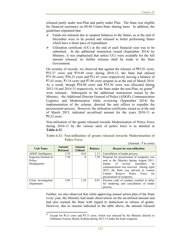released partly under non-Plan and partly under Plan. The State was eligible for financial assistance on 60:40 Centre-State sharing basis. In addition, the guidelines stipulated that:

- $\triangleright$  Funds not released due to unspent balances in the States, as at the end of December were to be pooled and released to better performing States which have a faster pace of expenditure.
- $\triangleright$  Utilisation certificate (UC) at the end of each financial year was to be submitted. In the additional instruction issued (September 2014) by Ministry, it was emphasised that unless UCs were available for the full amount released, no further releases shall be made to the State Government.

On scrutiny of records, we observed that against the releases of  $\bar{\tau}83.01$  crore,  $\overline{\xi}$ 53.37 crore and  $\overline{\xi}$ 19.49 crore during 2010-13, the State had utilised  $\overline{55.58}$  crore,  $\overline{550.23}$  crore and  $\overline{511.61}$  crore respectively leaving a balance of  $\overline{57.43}$  crore,  $\overline{53.14}$  crore and  $\overline{57.88}$  crore unspent as at the end of March 2014. As a result, though  $\overline{5}54.96$  crore and  $\overline{5}35.56$  crore was allocated during 2013-14 and 2014-15 respectively, to the State under the non-Plan, no grants $\frac{92}{2}$ were released. Subsequent to the additional instructions issued by the Ministry, the Additional Director General of Police (ADGP), Communication Logistics and Modernisation while reviewing (September 2014) the implementation of the scheme, directed the unit offices to expedite the procurement process. However, the utilisation certificates issued as at the end of March 2015, indicated un-utilised amount for the years 2010-13 as  $\overline{59.22}$  crore.

Non-utilisation of the grants released towards Modernisation of Police Force during 2010-13 by the various units of police force is as detailed in **Table-4.12**.

| Table-4.12: Non-utilisation of grants released towards Modernisation of |  |  |  |
|-------------------------------------------------------------------------|--|--|--|
| <b>Police Force</b>                                                     |  |  |  |

| (Amount : $\overline{\tau}$ in crore) |  |  |  |  |
|---------------------------------------|--|--|--|--|
|---------------------------------------|--|--|--|--|

| <b>Unit Name</b>     | Amount<br><b>Released</b> | <b>Amount</b><br><b>Utilised</b> | <b>Balance</b> | <b>Reason for non-utilisation</b>          |
|----------------------|---------------------------|----------------------------------|----------------|--------------------------------------------|
| ADGP, Intelligence   | 5.74                      | 4.63                             | 1.11           | Cancellation of tender process.            |
| Inspector General of | 7.30                      | $\Omega$                         | 7.30           | Proposal for procurement of weaponry was   |
| Police,              |                           |                                  |                | sent to the Ministry during August 2011.   |
| Headquarters         |                           |                                  |                | Inspite of several reminders,<br>no        |
|                      |                           |                                  |                | communication was received. During April   |
|                      |                           |                                  |                | 2015, the State was advised to contact     |
|                      |                           |                                  |                | Central Reserve Police Force<br>for        |
|                      |                           |                                  |                | procurement of weaponry.                   |
| Crime Investigation  | 2.09                      | 1.28                             | 0.81           | Election code of conduct resulted in delay |
| Department           |                           |                                  |                | for tendering and cancellation of tender   |
|                      |                           |                                  |                | process.                                   |

Further, we also observed that while approving annual action plan of the State every year, the Ministry had made observations on the un-utilised amount and had also warned the State with regard to deductions in release of grants. However, due to reasons indicated in the table above, the amount released

 Except for  $\bar{\xi}$ 6.23 crore and  $\bar{\xi}$ 5.13 crore, which was released by the Ministry directly to Ordinance Factory Board, Kolkata during 2013-15 under the head weaponry.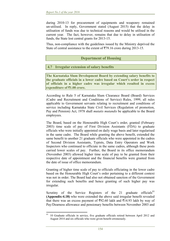during 2010-13 for procurement of equipments and weaponry remained un-utilised. In reply, Government stated (August 2015) that the delay in utilisation of funds was due to technical reasons and would be utilised in the current year. The fact, however, remains that due to delay in utilisation of funds, the State lost central grants for 2013-15.

Thus, non-compliance with the guidelines issued by the Ministry deprived the State of central assistance to the extent of  $\overline{579.16}$  crore during 2013-15.

# **Department of Housing**

## **4.7 Irregular extension of salary benefits**

**The Karnataka Slum Development Board by extending salary benefits to the graduate officials in a lower cadre based on Court's order in respect of officials in a higher cadre was irregular which resulted in excess expenditure of** `**1.08 crore.** 

According to Rule 5 of Karnataka Slum Clearance Board (Board) Services (Cadre and Recruitment and Conditions of Service) Rules, 1999, all rules applicable to Government servants relating to recruitment and conditions of service including Karnataka State Civil Services (Regulation of promotion, Pay and Pension) Act, 1978 shall *mutatis mutandis* be applicable to the Board employees.

The Board, based on the Honourable High Court's order, granted (February 2003) time scale of pay of First Division Assistants (FDA) to graduate officials who were initially appointed on daily wage basis and later regularised in the same cadre. The Board while granting the above benefit, extended the same benefit to another 21 graduate officials who were appointed in the cadres of Second Division Assistants, Typists, Data Entry Operators and Work Inspectors who continued to officiate in the same cadres, although these posts carried lower scales of pay. Further, the Board in its office memorandum (November 2003) allowed higher time scale of pay to be granted from their respective date of appointment and the financial benefits were granted from the date of issue of office memorandum.

Granting of higher time scale of pay to officials officiating in the lower cadre based on the Honourable High Court's order pertaining to a different context was not in order. The Board had also not obtained sanction of the Government for extending such benefits and hence granting of such higher pay was irregular.

Scrutiny of the Service Registers of the 21 graduate officials<sup>93</sup> **(Appendix-4.18)** who were extended the above said irregular benefit revealed that there was an excess payment of  $\overline{592.60}$  lakh and  $\overline{514.93}$  lakh by way of Pay/Dearness allowance and pensionary benefits between November 2003 and

 <sup>93</sup> 10 Graduate officials in service, five graduate officials retired between April 2012 and August 2014 and six officials who were given benefit erroneously.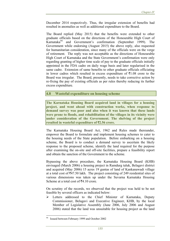December 2014 respectively. Thus, the irregular extension of benefits had resulted in anomalies as well as additional expenditure to the Board.

The Board replied (May 2015) that the benefits were extended to other graduate officials based on the directions of the Honourable High Court of Karnataka<sup>94</sup> and Government's confirmation (September 1999). The Government while endorsing (August 2015) the above reply, also requested for humanitarian consideration, since many of the officials were on the verge of retirement. The reply was not acceptable as the directions of Honourable High Court of Karnataka and the State Government's confirmation were only regarding granting of higher time scale of pay to the graduate officials initially appointed in the FDA cadre on daily wage basis and later regularised in the same cadre. Extension of same benefits to other graduate officials officiating in lower cadres which resulted in excess expenditure of  $\bar{\tau}1.08$  crore to the Board was irregular. The Board, presently, needs to take corrective action by re-fixing the pay of existing officials as per rules thereby reducing its further excess expenditure.

### **4.8 Wasteful expenditure on housing scheme**

**The Karnataka Housing Board acquired land in villages for a housing project, and went ahead with construction works, when response to demand survey was poor and also when it was known that these lands were prone to floods, and rehabilitation of the villages in its vicinity were under consideration of the Government. The shelving of the project resulted in wasteful expenditure of** `**2.56 crore.** 

The Karnataka Housing Board Act, 1962 and Rules made thereunder, empower the Board to formulate and implement housing schemes to cater to the housing needs of the State population. Before embarking on a housing scheme, the Board is to conduct a demand survey to ascertain the likely response to the proposed scheme, identify the land required for the purpose after examining the on-site and off-site facilities, prepare a feasibility report and obtain the sanction of the Government to the scheme.

Bypassing the above procedure, the Karnataka Housing Board (KHB) envisaged (March 2006) a housing project in Ramdurg taluk, Belagavi district and acquired (May 2006) 15 acres 19 guntas of land of Kankanawadi village at a total cost of  $\text{\texttt{347.50}}$  lakh. The project consisting of 249 residential sites of various dimensions was taken up under the Suvarna Karnataka Housing Scheme at a total cost of  $\overline{54}$ .10 crore.

On scrutiny of the records, we observed that the project was held to be not feasible by several officers as indicated below:

 Letters addressed to the Chief Minister of Karnataka, Deputy Commissioner, Belagavi and Executive Engineer, KHB, by the local Member of Legislative Assembly (June 2006, July 2006 and August 2006) stated that the land was unsuitable for housing project as the land

<sup>&</sup>lt;sup>94</sup> Issued between February 1999 and October 2002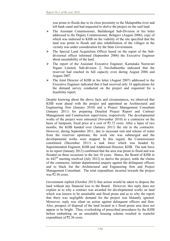was prone to floods due to its close proximity to the Malaprabha river and left bank canal and had requested to shelve the project on the said land.

- The Assistant Commissioner, Bailahongal Sub-Division in his letter addressed to the Deputy Commissioner, Belagavi (August 2006), copy of which was endorsed to KHB on the viability of the site specified that the land was prone to floods and also rehabilitation of the villages in the vicinity was under consideration by the State Government.
- The Special Land Acquisition Officer based on the report of the Subdivisional officer informed (September 2006) the Executive Engineer about unsuitability of the land.
- The report of the Assistant Executive Engineer, Karnataka Neeravari Nigam Limited, Sub-division 2, Navilutheertha indicated that the reservoir had reached its full capacity even during August 2006 and August 2007.
- $\triangleright$  The Joint Director of KHB in his letter (August 2007) addressed to the Executive Engineer indicated that it had received only 18 applications for the demand survey conducted on the project and requested for a feasibility report.

Despite knowing about the above facts and circumstances, we observed that KHB went ahead with the project and appointed an Architectural and Engineering firm (January 2010) and a Project Management Consultant (January 2011) for preparing Detailed Project Report and Contract Management and Construction supervision, respectively. The developmental works of the project were entrusted (November 2010) to a contractor on the basis of lumpsum, fixed price at a cost of  $\overline{22.72}$  crore. After a lapse of two months, the KHB handed over (January 2011) the site to the contractor. However, during September 2011, due to incessant rain and release of water from the reservoir upstream, the work site was submerged and the developmental works were stopped. In this regard, the Commissioner constituted (December 2011) a task force which was headed by Superintendent Engineer, KHB and Additional Director, KHB. The task force in its report (January 2012) confirmed that the area was prone to flood and was flooded on three occasions in the last 10 years. Hence, the Board of KHB in its  $442<sup>nd</sup>$  meeting resolved (July 2012) to shelve the project, settle the claims of the contractor, initiate departmental enquiry against the delinquent officers and to black list the Architectural and Engineering firm and Project Management Consultant. The total expenditure incurred towards the project was  $\bar{z}$ 2.56 crore.

Government replied (October 2015) that action would be taken to dispose the land without any financial loss to the Board. However, this reply does not explain as to why a contract was awarded for developmental works on land which was known to be unsuitable and flood prone and as to why the report that there was negligible demand for the project was blatantly ignored. Moreover, reply was silent on action against delinquent officers and firm. Also, prospect of disposal of the land located in a flood prone area does not appear to be bright. Thus, overlooking of prescribed procedures by the KHB before embarking on an unsuitable housing scheme resulted in wasteful expenditure of  $\overline{52.56}$  crore.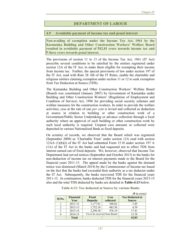# **DEPARTMENT OF LABOUR**

#### **4.9 Avoidable payment of income tax and penal interest**

**Non-availing of exemption under the Income Tax Act, 1961 by the Karnataka Building and Other Construction Workers' Welfare Board**  resulted in avoidable payment of  $\bar{\mathcal{A}}$ 42.83 crore towards income tax and ` **three crore towards penal interest.** 

The provisions of section 11 to 13 of the Income Tax Act, 1961 (IT Act) prescribe several conditions to be satisfied by the entities registered under section 12A of the IT Act, to make them eligible for exempting their income from income tax. Further, the special provisions of law under section 197 of the IT Act, read with Rule 28 AB of the IT Rules, enable the charitable and religious entities claiming exemption under section 11 or 12 to seek exemption from Tax Deduction at Source (TDS).

The Karnataka Building and Other Construction Workers' Welfare Board (Board) was constituted (January 2007) by Government of Karnataka under Building and Other Construction Workers' (Regulation of Employment and Condition of Service) Act, 1996 for providing social security schemes and welfare measures for the construction workers. In order to provide the welfare activities, cess at the rate of one *per cent* is levied and collected as deduction at source in relation to building or other construction work of a Government/Public Sector Undertaking or advance collection through a local authority where an approval of such building or other construction work by such local authority is required. Unspent cess amounts so collected were deposited in various Nationalised Bank as fixed deposits.

On scrutiny of records, we observed that the Board which was registered (September 2008) as 'Charitable Trust' under section 12A read with section 12AA (1)(b)(i) of the IT Act had submitted Form 15 H under section 197 A (1A) of the IT Act to the banks and had requested not to effect TDS from interest earned out of fixed deposits. We, however, observed that Income Tax Department had served notices (September and October 2013) to the banks for non-deduction of income tax on interest payments made to the Board for the financial years 2011-13. The appeal made by the banks against the demand notice was dismissed (March 2014) by the Commissioner of Income tax based on the fact that the banks had exceeded their authority as a tax deductor under the IT Act. Subsequently, the banks recovered TDS for the financial years 2011-13. In continuation, banks deducted TDS for the financial years 2013-15 also and the total TDS deducted by banks are detailed in **Table-4.13** below.

| <b>Table-4.13: Tax deducted at Source by various Banks</b> |  |  |  |  |
|------------------------------------------------------------|--|--|--|--|
|                                                            |  |  |  |  |

|        |                  |                               |             | $(\bar{\bar{\mathbf{x}}}$ in crore) |
|--------|------------------|-------------------------------|-------------|-------------------------------------|
|        | <b>Financial</b> | Fixed                         | <b>Cess</b> | <b>Tax Deducted at</b>              |
| Sl.No. | Year             | <b>Deposits</b>               | collected   | <b>Source</b>                       |
|        | 2011-12          | 1,177.61                      | 360.62      | 3.45                                |
| າ      | 2012-13          | 1,752.10                      | 483.58      | 6.59                                |
|        | 2013-14          | 2,290.30                      | 476.10      | 17.41                               |
|        | 2014-15          | Yet to be received from Board |             | 15.38                               |
|        | <b>Total</b>     |                               |             | 42.83                               |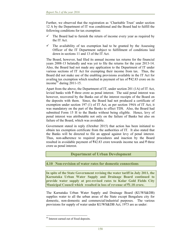Further, we observed that the registration as 'Charitable Trust' under section 12 A by the Department of IT was conditional and the Board had to fulfill the following conditions for tax exemption:

- $\checkmark$  The Board had to furnish the return of income every year as required by the IT Act.
- $\checkmark$  The availability of tax exemption had to be granted by the Assessing Officer of the IT Department subject to fulfillment of conditions laid down in sections 11 and 13 of the IT Act.

The Board, however, had filed its annual income tax returns for the financial years 2008-13 belatedly and was yet to file the returns for the year 2013-14. Also, the Board had not made any application to the Department of IT under various sections of IT Act for exempting their income from tax. Thus, the Board did not make use of the enabling provisions available in the IT Act for availing tax exemption which resulted in payment of tax of  $\text{\texttt{F42.83}}$  crore on its income<sup>95</sup> during 2011-15.

Apart from the above, the Department of IT, under section 201 (1A) of IT Act, levied banks with  $\bar{\tau}$  three crore as penal interest. The said penal interest was however, recovered by the Banks out of the interest receipts of the Board on the deposits with them. Since, the Board had not produced a certificate of exemption under section 197 (1) of IT Act, as per section 194A of IT Act, it was mandatory on the part of the Banks to effect TDS. Also, the Board had submitted Form 15 H to the Banks without being eligible. Hence, levy of penal interest was attributable not only on the failure of Banks but also on failure of the Board, which was avoidable.

Government stated in reply (October 2015) that action has been initiated to obtain tax exemption certificate from the authorities of IT. It also stated that the Banks will be directed to file an appeal against levy of penal interest. Thus, non-adherence to required procedures and inaction by the Board resulted in avoidable payment of  $\bar{\tau}$ 42.83 crore towards income tax and  $\bar{\tau}$  three crore as penal interest.

# **Department of Urban Development**

### **4.10 Non-revision of water rates for domestic connections**

**In spite of the State Government revising the water tariff in July 2011, the Karnataka Urban Water Supply and Drainage Board continued to provide water supply at pre-revised rates to Kolar Gold Fields City Municipal Council which resulted in loss of revenue of** `**1.18 crore.** 

The Karnataka Urban Water Supply and Drainage Board (KUWS&DB) supplies water to all the urban areas of the State except Bengaluru city for domestic, non-domestic and commercial/industrial purposes. The various provisions for supply of water under KUWS&DB Act, 1973 are as under:

 <sup>95</sup> Interest earned out of fixed deposits.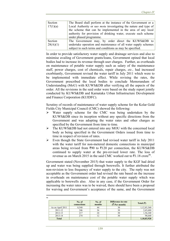| Section  | The Board shall perform at the instance of the Government or a   |  |  |  |  |  |  |
|----------|------------------------------------------------------------------|--|--|--|--|--|--|
| 17(1)(a) | Local Authority or suo motu investigating the nature and type of |  |  |  |  |  |  |
|          | the scheme that can be implemented in the area of any local      |  |  |  |  |  |  |
|          | authority for provision of drinking water, execute such scheme   |  |  |  |  |  |  |
|          | under phased programme.                                          |  |  |  |  |  |  |
| Section  | The Government may, by order direct the KUWS&DB to               |  |  |  |  |  |  |
| 28(A)(1) | undertake operation and maintenance of all water supply schemes  |  |  |  |  |  |  |
|          | subject to such terms and conditions as may be specified.        |  |  |  |  |  |  |

In order to provide satisfactory water supply and drainage services and also to minimise availing of Government grants/loans, Government opined that local bodies had to increase its revenue through user charges. Further, as overheads on maintenance of potable water supply such as salary of the maintenance staff, power charges, cost of chemicals, repair charges, *etc.,* had increased exorbitantly, Government revised the water tariff in July 2011 which were to be implemented with immediate effect. While revising the rates, the Government prescribed the local bodies to conclude Memorandum of Understanding (MoU) with KUWS&DB after verifying all the aspects of the order. All the revisions in the said order were based on the study report jointly conducted by KUWS&DB and Karnataka Urban Infrastructure Development and Finance Corporation (KUIDFC).

Scrutiny of records of maintenance of water supply scheme for the Kolar Gold Fields City Municipal Council (CMC) showed the following:

- Water supply scheme for the CMC was being undertaken by the KUWS&DB since its inception without any specific directions from the Government and was adopting the water rates and other charges as specified by the Government from time to time.
- The KUWS&DB had not entered into any MOU with the concerned local body as being specified in the Government Orders issued from time to time in respect of revision of rates.
- $\triangleright$  Even though the State Government had revised water tariff in July 2011 with the water tariff for non-metered domestic connections in municipal areas being revised from  $\overline{590}$  to  $\overline{5120}$  per connection, the KUWS&DB continued to supply water at the pre-revised lower rate. The loss of revenue as on March 2015 in the said CMC worked out to  $\bar{\tau}$ 1.18 crore<sup>96</sup>.

Government stated (November 2015) that water supply to the KGF had dried up and water was being supplied through borewells. It further attributed the non-revision to less frequency of water supply to the city. The reply was not acceptable as the Government order had revised the rate based on the increase in overheads on maintenance cost of the potable water supply which was applicable to borewells also. Also in any case, if the Government Order for increasing the water rates was to be waived, there should have been a proposal for waiving and Government's acceptance of the same, and the Government

| 96 |                  |                       |                  |                                        |                       |
|----|------------------|-----------------------|------------------|----------------------------------------|-----------------------|
|    |                  | No. of<br>connections | No. of<br>months | Difference in rate<br>$($ ₹ Per month) | Total $(\bar{\zeta})$ |
|    | As on April 2011 | 8.548                 | 44               | 30                                     | 1,12,83,360           |
|    | $2011 - 12$      | 246                   | 36               | 30                                     | 2,65,680              |
|    | 2012-13          | 217                   | 24               | 30                                     | 1,56,240              |
|    | $2013 - 14$      | 274                   | 12               | 30                                     | 98,640                |
|    | <b>Total</b>     |                       |                  |                                        | 1,18,03,920           |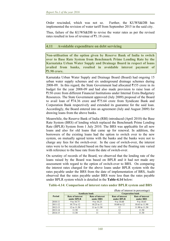Order rescinded, which was not so. Further, the KUWS&DB has implemented the revision of water tariff from September 2015 in the said city.

Thus, failure of the KUWS&DB to revise the water rates as per the revised rates resulted in loss of revenue of  $\bar{\tau}$ 1.18 crore.

### **4.11 Avoidable expenditure on debt servicing**

**Non-utilisation of the option given by Reserve Bank of India to switch over to Base Rate System from Benchmark Prime Lending Rate by the Karnataka Urban Water Supply and Drainage Board in respect of loans availed from banks, resulted in avoidable interest payment of**  `**1.98 crore.** 

Karnataka Urban Water Supply and Drainage Board (Board) had ongoing 15 urban water supply schemes and six underground drainage schemes during 2008-09. In this regard, the State Government had allocated  $\overline{5}155$  crore in its budget for the year 2008-09 and had also made provision to raise loan of `150 crore from different Financial Institutions under Internal Extra Budgetary Resources. The State Government approved (July 2009) proposal of the Board to avail loan of  $\overline{574.36}$  crore and  $\overline{575.64}$  crore from Syndicate Bank and Corporation Bank respectively and extended its guarantee for the said loan. Accordingly, the Board entered into an agreement (July and August 2009) for drawing loans from the above banks.

Meanwhile, the Reserve Bank of India (RBI) introduced (April 2010) the Base Rate System (BRS) of lending which replaced the Benchmark Prime Lending Rate (BPLR) System from 1 July 2010. The BRS was applicable for all new loans and also for old loans that came up for renewal. In addition, the borrowers of the existing loans had the option to switch over to the new system, on mutually agreed terms with the banks and the banks were not to charge any fees for the switch-over. In the case of switch-over, the interest rates were to be recalculated based on the base rate and the floating rate varied with reference to the base rate from the date of switch-over.

On scrutiny of records of the Board, we observed that the lending rate of the loans raised by the Board was based on BPLR and it had not made any assessment with regard to the option of switch-over to BRS. On comparing the interest rates charged for the above loans under BPLR system with the rates payable under the BRS from the date of implementation of BRS, Audit observed that the rates payable under BRS were less than the rates payable under BPLR system which is detailed in the **Table-4.14** below:

| Table-4.14: Comparison of interest rates under BPLR system and BRS |  |  |  |
|--------------------------------------------------------------------|--|--|--|
|                                                                    |  |  |  |

|               |                         |                         |                         | (Rate of interest in percentage) |  |
|---------------|-------------------------|-------------------------|-------------------------|----------------------------------|--|
|               | <b>Syndicate bank</b>   |                         | <b>Corporation bank</b> |                                  |  |
| <b>Period</b> | <b>Rate of interest</b> | <b>Rate of interest</b> | <b>Rate of interest</b> | <b>Rate of interest</b>          |  |
|               | under BPLR              | under BRS               | under BPLR              | under BRS                        |  |
| 2010-11       | 9 to 10.75              | 9 to 10.25              | 9 to 10.60              | 9 to 10.65                       |  |
| $2011 - 12$   | 10.75 to 12             | 10.25 to 11             | 10.60 to 12             | 10.65 to 11.90                   |  |
| 2012-13       | 12 to 11.50             | 11 to 11.50             | 12                      | 11.90 to 11.50                   |  |
| 2013-14       | 11.50                   |                         | 12                      | 11.50                            |  |
| 2014-15       | 11.50                   |                         | 12                      | 11.50                            |  |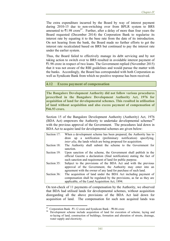The extra expenditure incurred by the Board by way of interest payment during 2010-15 due to non-switching over from BPLR system to BRS amounted to  $\overline{\tau}$ 1.98 crore<sup>97</sup>. Further, after a delay of more than four years the Board requested (December 2014) the Corporation Bank to regularise its interest rate by equating it to the base rate from the date of its introduction. On not hearing from the bank, the Board made no further efforts to get the interest rate recalculated based on BRS but continued to pay the interest rate under the earlier system.

Thus, the Board failed to effectively manage its debt servicing and by not taking action to switch over to BRS resulted in avoidable interest payment of `1.98 crore in respect of two loans. The Government replied (November 2015) that it was not aware of the RBI guidelines and would pursue the matter with the banks. Accordingly, the Board has corresponded with both Corporation as well as Syndicate Bank from which no positive response has been received.

### **4.12 Excess payment of compensation**

**The Bangalore Development Authority did not follow various procedures prescribed in the Bangalore Development Authority Act, 1976 for acquisition of land for developmental schemes. This resulted in utilisation of land without acquisition and also excess payment of compensation of**  `**46.93 crore.** 

Section 15 of the Bangalore Development Authority (Authority) Act, 1976 (BDA Act) empowers the Authority to undertake developmental schemes<sup>98</sup> with the previous approval of the Government. The procedures laid down in BDA Act to acquire land for developmental schemes are given below:

| Section 17:    | When a development scheme has been prepared, the Authority has to       |  |  |  |  |  |  |
|----------------|-------------------------------------------------------------------------|--|--|--|--|--|--|
|                | up a notification (preliminary notification) specifying,<br>draw        |  |  |  |  |  |  |
|                | <i>inter alia</i> , the lands which are being proposed for acquisition. |  |  |  |  |  |  |
| Section 18:    | The Authority shall submit the scheme to the Government for             |  |  |  |  |  |  |
|                | sanction.                                                               |  |  |  |  |  |  |
| Section 19:    | Upon sanction of the scheme, the Government shall publish in the        |  |  |  |  |  |  |
|                | official Gazette a declaration (final notification) stating the fact of |  |  |  |  |  |  |
|                | such sanction and requirement of land for public purpose.               |  |  |  |  |  |  |
| Section $35$ : | Subject to the provisions of the BDA Act and with the previous          |  |  |  |  |  |  |
|                | approval of the Government, the Authority may enter into an             |  |  |  |  |  |  |
|                | agreement with the owner of any land for purchase of such land.         |  |  |  |  |  |  |
| Section 36:    | The acquisition of land under the BDA Act including payment of          |  |  |  |  |  |  |
|                | compensation shall be regulated by the provisions, as far as they are   |  |  |  |  |  |  |
|                | applicable, of the Land Acquisition Act, 1894.                          |  |  |  |  |  |  |

On test-check of 11 payments of compensation by the Authority, we observed that BDA had utilised lands for developmental schemes, without acquisition disregarding all the above provisions of the BDA Act laid down for acquisition of land. The compensation for such non acquired lands was

Corporation Bank – $\overline{\tau}1.12$  crore and Syndicate Bank –  $\overline{\tau}0.86$  crore<br>Development scheme include acquisition of land for execution of scheme, laying and re-laying of land, construction of buildings, formation and alteration of streets, drainage, water supply and electricity.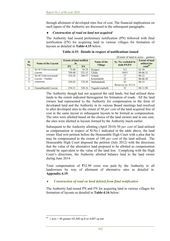through allotment of developed sites free of cost. The financial implications on such lapses of the Authority are discussed in the subsequent paragraphs.

#### *Construction of road on land not acquired*

The Authority had issued preliminary notification (PN) followed with final notification (FN) for acquiring land in various villages for formation of layouts as detailed in **Table-4.15** below:

|            |                           |                                      |           |                               | (Extent of land in acres – guntas) |                                       |
|------------|---------------------------|--------------------------------------|-----------|-------------------------------|------------------------------------|---------------------------------------|
| SI.<br>No. | <b>Name of the Layout</b> | <b>Extent of land notified</b><br>in |           | Name of the<br><b>Village</b> | Sy. No. excluded in<br>both PN/FN  | <b>Extent of land</b><br>utilised for |
|            |                           | PN                                   | <b>FN</b> |                               |                                    | $\text{road}^{99}$                    |
|            | Sir M Vishveswaraiah      | 75-08                                | 39-29     | Kengeri                       | 212                                | $02 - 30$                             |
| 2          | Layout                    | 708-00                               | 552-15    | Ullalu                        | 169/1                              | 00-06.32                              |
|            | Sir M Vishveswaraiah      | 324-26                               | 240-37    | Gidada                        | 27                                 | $00-22$                               |
| 4          | Layout – Further          |                                      |           | Konenahalli                   | 23                                 | 00-06.50                              |
|            | extension                 | 330-02                               | 178-39    | Mallathahalli                 | 83                                 | $00 - 33$                             |
|            |                           |                                      |           |                               | Resurvey no. 83/1A                 |                                       |
| 6          | Gnanabharathi Layout      | 354-31                               | 320-16    | Nagadevenahalli               | 53                                 | 00-11.98                              |

#### **Table-4.15: Details in respect of notifications issued**

The Authority though had not acquired the said lands, but had utilised these lands to the extent indicated thereagainst for formation of roads. All the land owners had represented to the Authority for compensation in the form of developed land and the Authority in its various Board meetings had resolved to allot developed sites to the extent of 50 *per cent* of the land acquired free of cost in the same layout or subsequent layouts to be formed as compensation. The sites were allotted based on the choice of the land owners and in one case, the sites were allotted in layouts formed by the Authority much earlier.

Subsequent to the Authority allotting (April 2010) 50 *per cent* of land utilised as compensation in respect of Sl.No.1 indicated in the table above, the land owner filed writ petition before the Honourable High Court with a plea that he may be compensated to the extent of 100 *per cent* of the land utilised. The Honourable High Court disposed the petition (July 2012) with the directions that the value of the alternative land proposed to be allotted as compensation should be equivalent to the value of the land lost. Complying with the High Court's directions, the Authority allotted balance land to the land owner during June 2014.

Total compensation of  $\overline{32.99}$  crore was paid by the Authority to all landowners by way of allotment of alternative sites as detailed in **Appendix-4.19**.

### *Construction of road on land deleted from final notification*

The Authority had issued PN and FN for acquiring land in various villages for formation of layouts as detailed in **Table-4.16** below:

<sup>&</sup>lt;sup>99</sup> 1 acre = 40 guntas=43,560 sq ft or 4,047 sq mtr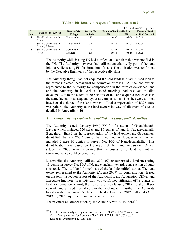|     |                           |                |                   |                                   |           | (Extent of land in acres – guntas) |
|-----|---------------------------|----------------|-------------------|-----------------------------------|-----------|------------------------------------|
| SI. | <b>Name of the Layout</b> | Name of the    | <b>Survey No.</b> | <b>Extent of land notified in</b> |           | <b>Extent of land</b>              |
| No. |                           | <b>Village</b> | included          | PN                                | FN        | utilised for road                  |
|     | Sir M Vishveswaraiah      | Ramasandra     | 29/1              | $10 - 30$                         | $09-00$   | $0-12.40$                          |
|     | Layout                    |                |                   |                                   |           |                                    |
|     | Sir M Vishveswaraiah      | Manganahalli   | 35                | $04-18$                           | $04-08$   | $0-20.00$                          |
|     | Layout, II Stage          |                |                   |                                   |           |                                    |
|     | Sir M Vishveswaraiah      | Sonenahalli    | 14                | $05 - 24$                         | $03 - 24$ | $0-05.50$                          |
| 4   | Layout                    | Kengeri        | 209               | $09-36$                           | $05-10$   | $0 - 08.25$                        |

## **Table-4.16: Details in respect of notifications issued**

The Authority while issuing FN had notified land less than that was notified in the PN. The Authority, however, had utilised unauthorisedly part of the land left out while issuing FN for formation of roads. The utilisation was confirmed by the Executive Engineers of the respective divisions.

The Authority though had not acquired the said lands but had utilised land to the extent indicated thereagainst for formation of roads. All the land owners represented to the Authority for compensation in the form of developed land and the Authority in its various Board meetings had resolved to allot developed site to the extent of 50 *per cent* of the land acquired free of cost in the same layout or subsequent layout as compensation. The sites were allotted based on the choice of the land owners. Total compensation of  $\overline{55.96}$  crore was paid by the Authority to the land owners by way of allotment of sites as detailed in **Appendix-4.20**.

## *Construction of road on land notified and subsequently denotified*

The Authority issued (January 1994) FN for formation of Gnanabharathi Layout which included 320 acres and 16 guntas of land in Nagadevanahalli, Bengaluru. Based on the representation of the land owner, the Government denotified (January 2001) part of land acquired in Nagadevanahalli which included 2 acre 30 guntas in survey No. 10/5 of Nagadevanahalli. This denotification was based on the report of the Land Acquisition Officer (November 2000) which indicated that the possession of land was not yet taken and hence could be denotified.

Meanwhile, the Authority utilised (2001-02) unauthorisedly land measuring 18 guntas in survey No. 10/5 of Nagadevanahalli towards construction of outer ring road. The said land formed part of the land denotified earlier. The land owner represented to the Authority (August 2007) for compensation. Based on the joint inspection report of the Additional Land Acquisition Officer and Executive Engineer, West Division who confirmed utilisation of 18 guntas of land for formation of road, the Board resolved (January 2012) to allot 50 *per cent* of land utilised free of cost to the land owner. Further, the Authority based on the land owner's choice of land (November 2012), allotted (April 2013) 1,028.61 sq mtrs of land in the same layout.

The payment of compensation by the Authority was  $\overline{22.45}$  crore<sup>100</sup>.

 <sup>100</sup> Cost to the Authority if 18 guntas were acquired: ₹1.47 lakh @ ₹3.26 lakh/acre Cost of compensation for 9 guntas of land :  $\overline{2}245.02$  lakh @ 2,500 / sq. ft. Loss to the Authority :  $\overline{5}243.55$  lakh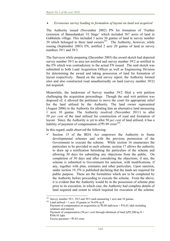## *Erroneous survey leading to formation of layout on land not acquired*

The Authority issued (November 2002) PN for formation of 'Further extension of Banashankari VI Stage' which included 367 acres of land in Gubbalala village. This included 3 acres 30 guntas of land in survey number 39 which belonged to three land owners<sup>101</sup>. The Authority, however, while issuing (September 2003) FN, notified 2 acre 20 guntas of land in survey numbers 39/1 and 39/3.

The Surveyor while preparing (December 2003) the award sketch had depicted survey number 39/3 as area not notified and survey number 39/2 as notified in the FN which was contradictory to the actual FN issued. The said sketch was submitted to both Land Acquisition Officer as well as Engineering Division for determining the award and taking possession of land for formation of layout respectively. Based on the said survey report, the Authority formed sites and also constructed road unauthorisedly on land (survey number 39/2) not acquired.

Meanwhile, the landowner of Survey number 39/2 filed a writ petition challenging the acquisition proceedings. Though the said writ petition was disposed of, it allowed the petitioner to move the court for appropriate relief for the land utilised by the Authority. The land owner represented (August 2006) to the Authority for allotting him an alternative land measuring 1 acre 10 guntas. The Authority resolved (November 2011) to allot 50 *per cent* of the land utilised for construction of road and formation of layout. Since, the Authority is yet to allot 50 *per cent* of land utilised, it has a liability of payment of compensation of  $\overline{55.99}$  crore<sup>102</sup>.

In this regard, audit observed the following:

 $\checkmark$  Section 15 of the BDA Act empowers the Authority to frame developmental schemes and with the previous permission of the Government to execute the scheme. While section 16 enumerates the particulars to be provided in such scheme, section 17 allows the authority to draw up a notification furnishing the particulars of the scheme and allowing 30 days for submitting any objections from the public. On completion of 30 days and after considering the objections, if any, the scheme is submitted to Government for sanction, with modifications, if any, together with plan, estimates and other particulars. Upon sanction, under section 19, FN is published declaring that the lands are required for public purpose. These are the formalities which are to be completed by the Authority before proceeding to execute the scheme. From the above, it is evident that the Authority would be in the possession of scheme plan prior to its execution, in which case, the Authority had complete details of land required and extent to which required for execution of the scheme.

<sup>&</sup>lt;sup>101</sup> Survey number 39/1, 39/2 and 39/3 each measuring 1 acre and 10 guntas.<br><sup>102</sup> Land utilised = 1 acre 10 guntas or 54,450 sq ft

Payment of compensation on acquisition  $\omega$   $\bar{\mathbf{z}}$ 8.80 lakh/acre =  $\bar{\mathbf{z}}$ 16.01 lakh including solatium and interest Payment of compensation (50 *per cent*) through allotment of land  $\omega$   $\bar{z}$ 2,200/sq ft = ₹598 95 lakh

Excess payment =  $\overline{55.83}$  crore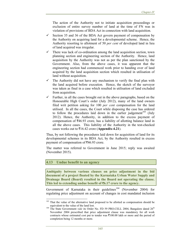The action of the Authority not to initiate acquisition proceedings or exclusion of entire survey number of land at the time of FN was in violation of provisions of BDA Act in connection with land acquisition.

- $\checkmark$  Section 35 and 36 of the BDA Act govern payment of compensation by the Authority on acquiring land for a developmental scheme. Hence, the Authority resorting to allotment of 50 *per cent* of developed land in lieu of land acquired was irregular.
- $\checkmark$  There was lack of co-ordination among the land acquisition section, town planning section and engineering section of the Authority. Hence, land acquisition by the Authority was not as per the plan sanctioned by the Government. Also, from the above cases, it was apparent that the engineering section had commenced work prior to handing over of land acquired by the land acquisition section which resulted in utilisation of land without acquisition.
- $\checkmark$  The Authority did not have any mechanism to verify the final plan with the land acquired before execution. Hence, the sketch of the surveyor was taken as final in a case which resulted in utilisation of land excluded from acquisition.
- Further, in all the cases brought out in the above paragraphs, based on the Honourable High Court's order (July 2012), many of the land owners filed writ petition asking for 100 *per cent* compensation for the land utilised. In all the cases, the Court while disposing the case has ordered to follow the procedures laid down in the earlier judgement<sup>103</sup> (July 2012). Hence, the Authority, in addition to the excess payment of compensation of  $\bar{\tau}$ 46.93 crore, has a liability of allotting balance land in all the above cases. This liability of the Authority in the test-checked cases works out to  $\overline{516.42}$  crore (**Appendix-4.21**).

Thus, by not following the procedures laid down for acquisition of land for its developmental schemes in its BDA Act, by the Authority resulted in excess payment of compensation of  $\overline{\xi}46.93$  crore.

The matter was referred to Government in June 2015; reply was awaited (November 2015).

## **4.13 Undue benefit to an agency**

**Ambiguity between various clauses on price adjustment in the bid document of a project floated by the Karnataka Urban Water Supply and Drainage Board (Board) resulted in the Board not operating the clause. This led to extending undue benefit of** `**6.17 crore to the agency.** 

Government of Karnataka in their guidelines<sup>104</sup> (November 2004) for regulating price adjustment on account of changes in cost mandated inclusion

 $103$  That the value of the alternative land proposed to be allotted as compensation should be equivalent to the value of the land lost.<br><sup>104</sup> The State Government *vide* its Order No. FD 59 PRO.CELL 2004. Bangalore dated 26<sup>th</sup>

November 2004 prescribed that price adjustment clause was mandatory for all work contracts whose estimated cost put to tender was  $\bar{\tau}100.00$  lakh or more and the period of completion being 12 months or more.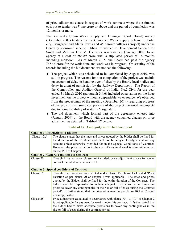of price adjustment clause in respect of work contracts where the estimated cost put to tender was  $\bar{\tau}$  one crore or above and the period of completion was 12 months or more.

The Karnataka Urban Water Supply and Drainage Board (Board) invited (December 2007) tenders for the Combined Water Supply Scheme to Kolar city, Bangarpet and Malur towns and 45 enroute villages (project) under the Centrally sponsored scheme 'Urban Infrastructure Development Scheme for Small and Medium Towns'. The work was awarded (January 2009) to an agency at a cost of  $\overline{$88.89}$  crore with a stipulated period of 18 months including monsoon. As of March 2015, the Board had paid the agency  $\text{\textsterling}65.46$  crore for the work done and work was in progress. On scrutiny of the records including the bid document, we noticed the following:

- The project which was scheduled to be completed by August 2010, was still in progress. The reasons for non-completion of the project was mainly on account of delay in handing over of sites by the Board/ local bodies and delay in grant of permission by the Railway Department. The Report of the Comptroller and Auditor General of India, No.2-Civil for the year ended 31 March 2010 (paragraph 3.4.6) included observation on the huge investment on the project without a dependable water source. We observed from the proceedings of the meeting (December 2014) regarding progress of the project, that some components of the project remained incomplete due to non-availability of water in Yargol dam.
- The bid document which formed part of the agreement entered into (January 2009) by the Board with the agency contained clauses on price adjustment as detailed in **Table-4.17** below:

| <b>Chapter 1: Instructions to Bidders</b>                                                                                                                           |  |  |  |  |  |  |
|---------------------------------------------------------------------------------------------------------------------------------------------------------------------|--|--|--|--|--|--|
| The clause stated that the rates and prices quoted by the bidder shall be fixed for                                                                                 |  |  |  |  |  |  |
| the duration of the Contract and shall not be subject to adjustment on any                                                                                          |  |  |  |  |  |  |
| account unless otherwise provided for in the Special Conditions of Contract.                                                                                        |  |  |  |  |  |  |
| However, the price variation in the cost of structural steel is admissible as per                                                                                   |  |  |  |  |  |  |
| clause 15.1 of Chapter 3.                                                                                                                                           |  |  |  |  |  |  |
| <b>Chapter 2: General conditions of Contract</b>                                                                                                                    |  |  |  |  |  |  |
| Though Price variation clause not included, price adjustment clause for works                                                                                       |  |  |  |  |  |  |
| contract included under clause 70.1.                                                                                                                                |  |  |  |  |  |  |
|                                                                                                                                                                     |  |  |  |  |  |  |
|                                                                                                                                                                     |  |  |  |  |  |  |
| <b>Chapter 3: Special conditions of Contract</b>                                                                                                                    |  |  |  |  |  |  |
| Though price variation was deleted under clause 15, clause 15.1 stated 'Price                                                                                       |  |  |  |  |  |  |
| variation as per clause 70 of chapter 2 was applicable. The rates and prices                                                                                        |  |  |  |  |  |  |
| quoted by the Bidder shall be fixed for the entire duration of the Contract. The                                                                                    |  |  |  |  |  |  |
|                                                                                                                                                                     |  |  |  |  |  |  |
| bidder shall be responsible to include adequate provisions in his lump-sum                                                                                          |  |  |  |  |  |  |
| prices to cover any contingencies in the rise or fall of costs during the Contract                                                                                  |  |  |  |  |  |  |
| period'. It further stated that the price adjustment as per clause 70.1 of Chapter                                                                                  |  |  |  |  |  |  |
| 2 was applicable.                                                                                                                                                   |  |  |  |  |  |  |
| Price adjustment calculated in accordance with clause 70.1 to 70.7 of Chapter 2                                                                                     |  |  |  |  |  |  |
| is not applicable for payment for works under this contract. It further stated that<br>the bidder had to make adequate provisions to cover any contingencies in the |  |  |  |  |  |  |
|                                                                                                                                                                     |  |  |  |  |  |  |